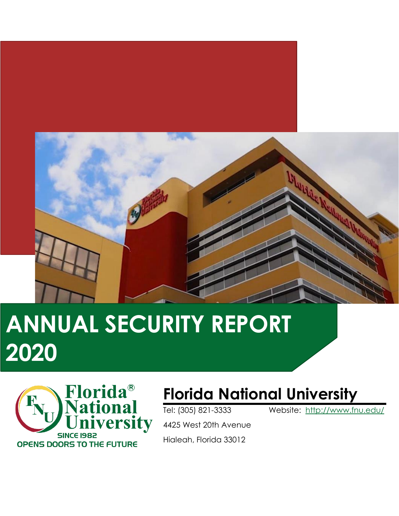

# **ANNUAL SECURITY REPORT 2020**



# **Florida National University**

Tel: (305) 821-3333

Website: <http://www.fnu.edu/>

4425 West 20th Avenue

Hialeah, Florida 33012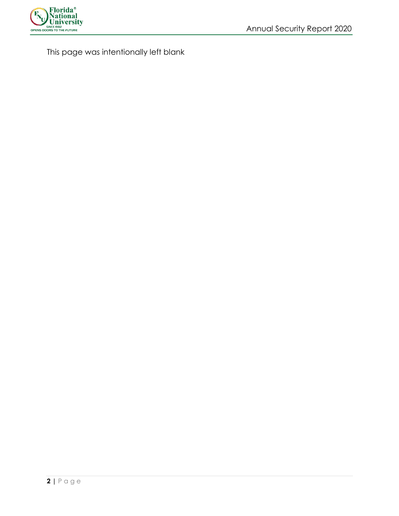

This page was intentionally left blank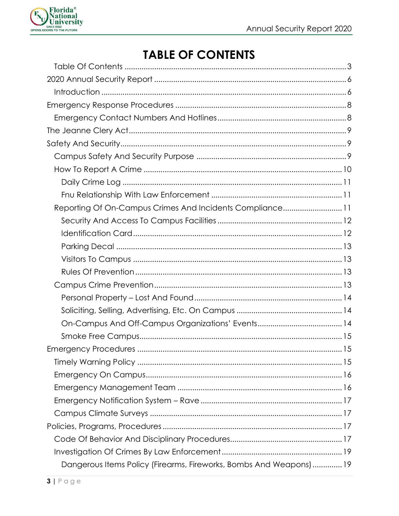

## <span id="page-2-0"></span>**TABLE OF CONTENTS**

| Reporting Of On-Campus Crimes And Incidents Compliance11           |  |
|--------------------------------------------------------------------|--|
|                                                                    |  |
|                                                                    |  |
|                                                                    |  |
|                                                                    |  |
|                                                                    |  |
|                                                                    |  |
|                                                                    |  |
|                                                                    |  |
|                                                                    |  |
|                                                                    |  |
|                                                                    |  |
|                                                                    |  |
|                                                                    |  |
|                                                                    |  |
|                                                                    |  |
|                                                                    |  |
|                                                                    |  |
|                                                                    |  |
|                                                                    |  |
| Dangerous Items Policy (Firearms, Fireworks, Bombs And Weapons) 19 |  |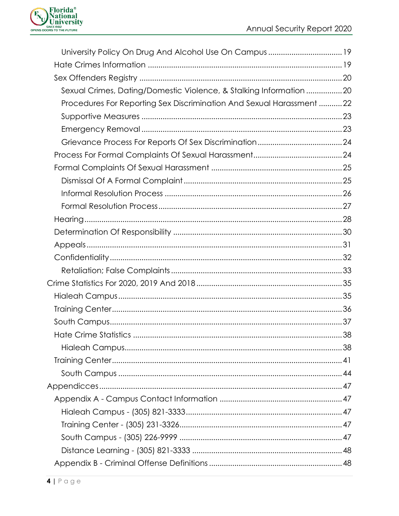

| University Policy On Drug And Alcohol Use On Campus  19              |  |
|----------------------------------------------------------------------|--|
|                                                                      |  |
|                                                                      |  |
| Sexual Crimes, Dating/Domestic Violence, & Stalking Information 20   |  |
| Procedures For Reporting Sex Discrimination And Sexual Harassment 22 |  |
|                                                                      |  |
|                                                                      |  |
|                                                                      |  |
|                                                                      |  |
|                                                                      |  |
|                                                                      |  |
|                                                                      |  |
|                                                                      |  |
|                                                                      |  |
|                                                                      |  |
|                                                                      |  |
|                                                                      |  |
|                                                                      |  |
|                                                                      |  |
|                                                                      |  |
|                                                                      |  |
|                                                                      |  |
|                                                                      |  |
|                                                                      |  |
|                                                                      |  |
|                                                                      |  |
|                                                                      |  |
|                                                                      |  |
|                                                                      |  |
|                                                                      |  |
|                                                                      |  |
|                                                                      |  |
|                                                                      |  |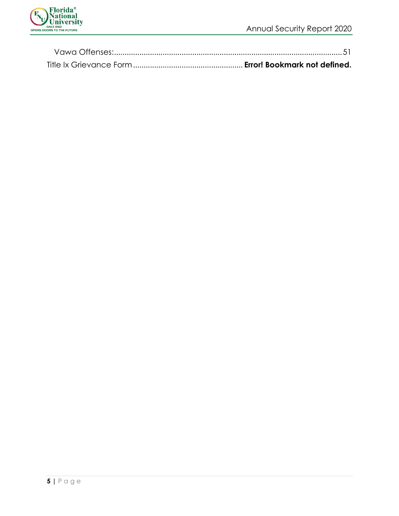

<span id="page-4-0"></span>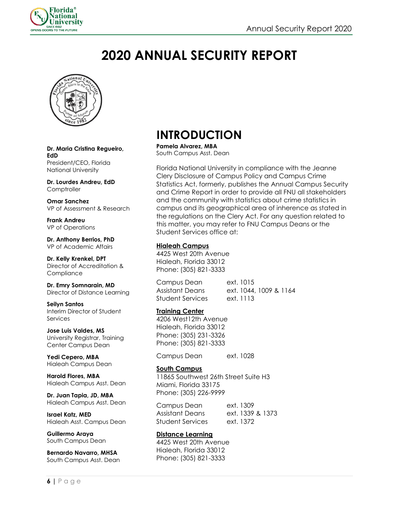

# **2020 ANNUAL SECURITY REPORT**



**Dr. Maria Cristina Regueiro, EdD** President/CEO, Florida National University

**Dr. Lourdes Andreu, EdD Comptroller** 

**Omar Sanchez** VP of Assessment & Research

**Frank Andreu** VP of Operations

**Dr. Anthony Berrios, PhD** VP of Academic Affairs

**Dr. Kelly Krenkel, DPT** Director of Accreditation & **Compliance** 

**Dr. Emry Somnarain, MD** Director of Distance Learning

**Seilyn Santos** Interim Director of Student Services

**Jose Luis Valdes, MS** University Registrar, Training Center Campus Dean

**Yedi Cepero, MBA** Hialeah Campus Dean

**Harold Flores, MBA** Hialeah Campus Asst. Dean

**Dr. Juan Tapia, JD, MBA** Hialeah Campus Asst. Dean

**Israel Katz, MED** Hialeah Asst. Campus Dean

**Guillermo Araya** South Campus Dean

**Bernardo Navarro, MHSA** South Campus Asst. Dean

#### <span id="page-5-0"></span>**INTRODUCTION**

**Pamela Alvarez, MBA** South Campus Asst. Dean

Florida National University in compliance with the Jeanne Clery Disclosure of Campus Policy and Campus Crime Statistics Act, formerly, publishes the Annual Campus Security and Crime Report in order to provide all FNU all stakeholders and the community with statistics about crime statistics in campus and its geographical area of inherence as stated in the regulations on the Clery Act. For any question related to this matter, you may refer to FNU Campus Deans or the Student Services office at:

#### **Hialeah Campus**

4425 West 20th Avenue Hialeah, Florida 33012 Phone: (305) 821-3333

Campus Dean ext. 1015 Student Services ext. 1113

Assistant Deans ext. 1044, 1009 & 1164

#### **Training Center**

4206 West12th Avenue Hialeah, Florida 33012 Phone: (305) 231-3326 Phone: (305) 821-3333

Campus Dean ext. 1028

#### **South Campus**

11865 Southwest 26th Street Suite H3 Miami, Florida 33175 Phone: (305) 226-9999

Campus Dean ext. 1309 Assistant Deans ext. 1339 & 1373 Student Services ext. 1372

#### **Distance Learning**

4425 West 20th Avenue Hialeah, Florida 33012 Phone: (305) 821-3333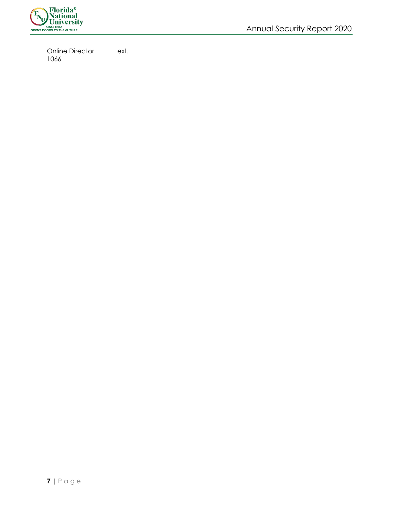

Annual Security Report 2020

Online Director ext. 1066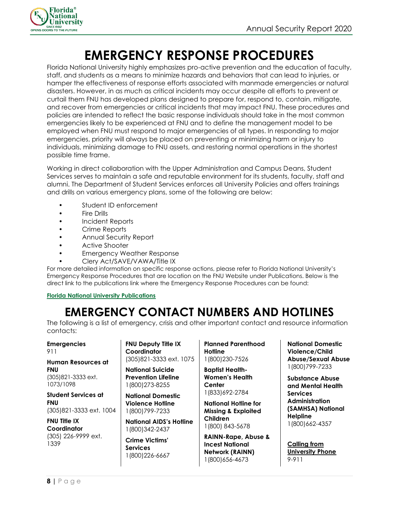

# **EMERGENCY RESPONSE PROCEDURES**

<span id="page-7-0"></span>Florida National University highly emphasizes pro-active prevention and the education of faculty, staff, and students as a means to minimize hazards and behaviors that can lead to injuries, or hamper the effectiveness of response efforts associated with manmade emergencies or natural disasters. However, in as much as critical incidents may occur despite all efforts to prevent or curtail them FNU has developed plans designed to prepare for, respond to, contain, mitigate, and recover from emergencies or critical incidents that may impact FNU. These procedures and policies are intended to reflect the basic response individuals should take in the most common emergencies likely to be experienced at FNU and to define the management model to be employed when FNU must respond to major emergencies of all types. In responding to major emergencies, priority will always be placed on preventing or minimizing harm or injury to individuals, minimizing damage to FNU assets, and restoring normal operations in the shortest possible time frame.

Working in direct collaboration with the Upper Administration and Campus Deans, Student Services serves to maintain a safe and reputable environment for its students, faculty, staff and alumni. The Department of Student Services enforces all University Policies and offers trainings and drills on various emergency plans, some of the following are below:

- Student ID enforcement
- **Fire Drills**
- Incident Reports
- Crime Reports
- Annual Security Report
- Active Shooter
- Emergency Weather Response
- Clery Act/SAVE/VAWA/Title IX

For more detailed information on specific response actions, please refer to Florida National University's Emergency Response Procedures that are location on the FNU Website under Publications. Below is the direct link to the publications link where the Emergency Response Procedures can be found:

<span id="page-7-1"></span>**[Florida National University Publications](https://www.fnu.edu/current-students/publications/?preview=true)**

### **EMERGENCY CONTACT NUMBERS AND HOTLINES**

The following is a list of emergency, crisis and other important contact and resource information contacts:

**Emergencies** 911

**Human Resources at FNU** (305)821-3333 ext. 1073/1098

**Student Services at FNU** (305)821-3333 ext. 1004

**FNU Title IX Coordinator** (305) 226-9999 ext. 1339

**FNU Deputy Title IX Coordinator** (305)821-3333 ext. 1075

**National Suicide Prevention Lifeline** 1(800)273-8255

**National Domestic Violence Hotline** 1(800)799-7233

**National AIDS's Hotline** 1(800)342-2437

**Crime Victims' Services** 1(800)226-6667 **Planned Parenthood Hotline** 1(800)230-7526

**Baptist Health-Women's Health Center** 1(833)692-2784

**National Hotline for Missing & Exploited Children** 1(800) 843-5678

**RAINN-Rape, Abuse & Incest National Network (RAINN)** 1(800)656-4673

**National Domestic Violence/Child Abuse/Sexual Abuse** 1(800)799-7233

**Substance Abuse and Mental Health Services Administration (SAMHSA) National Helpline** 1(800)662-4357

**Calling from University Phone** 9-911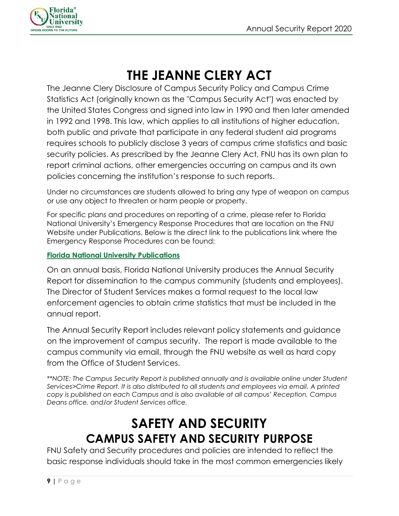

# **THE JEANNE CLERY ACT**

<span id="page-8-0"></span>The Jeanne Clery Disclosure of Campus Security Policy and Campus Crime Statistics Act (originally known as the "Campus Security Act") was enacted by the United States Congress and signed into law in 1990 and then later amended in 1992 and 1998. This law, which applies to all institutions of higher education, both public and private that participate in any federal student aid programs requires schools to publicly disclose 3 years of campus crime statistics and basic security policies. As prescribed by the Jeanne Clery Act, FNU has its own plan to report criminal actions, other emergencies occurring on campus and its own policies concerning the institution's response to such reports.

Under no circumstances are students allowed to bring any type of weapon on campus or use any object to threaten or harm people or property.

For specific plans and procedures on reporting of a crime, please refer to Florida National University's Emergency Response Procedures that are location on the FNU Website under Publications. Below is the direct link to the publications link where the Emergency Response Procedures can be found:

#### **[Florida National University Publications](https://www.fnu.edu/current-students/publications/?preview=true)**

On an annual basis, Florida National University produces the Annual Security Report for dissemination to the campus community (students and employees). The Director of Student Services makes a formal request to the local law enforcement agencies to obtain crime statistics that must be included in the annual report.

The Annual Security Report includes relevant policy statements and guidance on the improvement of campus security. The report is made available to the campus community via email, through the FNU website as well as hard copy from the Office of Student Services.

*\*\*NOTE: The Campus Security Report is published annually and is available online under Student Services>Crime Report. It is also distributed to all students and employees via email. A printed copy is published on each Campus and is also available at all campus' Reception, Campus Deans office, and/or Student Services office.*

# **SAFETY AND SECURITY CAMPUS SAFETY AND SECURITY PURPOSE**

<span id="page-8-2"></span><span id="page-8-1"></span>FNU Safety and Security procedures and policies are intended to reflect the basic response individuals should take in the most common emergencies likely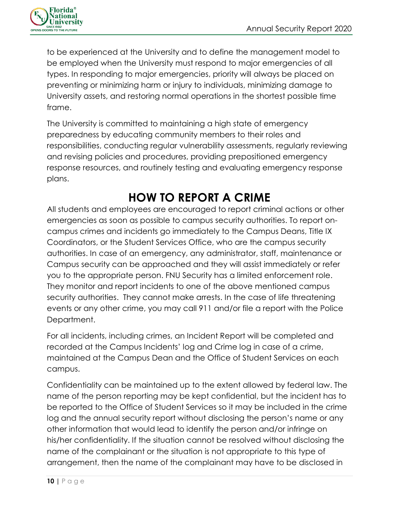

to be experienced at the University and to define the management model to be employed when the University must respond to major emergencies of all types. In responding to major emergencies, priority will always be placed on preventing or minimizing harm or injury to individuals, minimizing damage to University assets, and restoring normal operations in the shortest possible time frame.

The University is committed to maintaining a high state of emergency preparedness by educating community members to their roles and responsibilities, conducting regular vulnerability assessments, regularly reviewing and revising policies and procedures, providing prepositioned emergency response resources, and routinely testing and evaluating emergency response plans.

### **HOW TO REPORT A CRIME**

<span id="page-9-0"></span>All students and employees are encouraged to report criminal actions or other emergencies as soon as possible to campus security authorities. To report oncampus crimes and incidents go immediately to the Campus Deans, Title IX Coordinators, or the Student Services Office, who are the campus security authorities. In case of an emergency, any administrator, staff, maintenance or Campus security can be approached and they will assist immediately or refer you to the appropriate person. FNU Security has a limited enforcement role. They monitor and report incidents to one of the above mentioned campus security authorities. They cannot make arrests. In the case of life threatening events or any other crime, you may call 911 and/or file a report with the Police Department.

For all incidents, including crimes, an Incident Report will be completed and recorded at the Campus Incidents' log and Crime log in case of a crime, maintained at the Campus Dean and the Office of Student Services on each campus.

Confidentiality can be maintained up to the extent allowed by federal law. The name of the person reporting may be kept confidential, but the incident has to be reported to the Office of Student Services so it may be included in the crime log and the annual security report without disclosing the person's name or any other information that would lead to identify the person and/or infringe on his/her confidentiality. If the situation cannot be resolved without disclosing the name of the complainant or the situation is not appropriate to this type of arrangement, then the name of the complainant may have to be disclosed in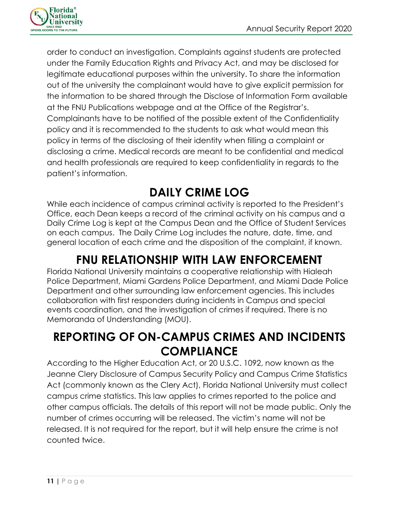

order to conduct an investigation. Complaints against students are protected under the Family Education Rights and Privacy Act, and may be disclosed for legitimate educational purposes within the university. To share the information out of the university the complainant would have to give explicit permission for the information to be shared through the Disclose of Information Form available at the FNU Publications webpage and at the Office of the Registrar's. Complainants have to be notified of the possible extent of the Confidentiality policy and it is recommended to the students to ask what would mean this policy in terms of the disclosing of their identity when filling a complaint or disclosing a crime. Medical records are meant to be confidential and medical and health professionals are required to keep confidentiality in regards to the patient's information.

### **DAILY CRIME LOG**

<span id="page-10-0"></span>While each incidence of campus criminal activity is reported to the President's Office, each Dean keeps a record of the criminal activity on his campus and a Daily Crime Log is kept at the Campus Dean and the Office of Student Services on each campus. The Daily Crime Log includes the nature, date, time, and general location of each crime and the disposition of the complaint, if known.

### **FNU RELATIONSHIP WITH LAW ENFORCEMENT**

<span id="page-10-1"></span>Florida National University maintains a cooperative relationship with Hialeah Police Department, Miami Gardens Police Department, and Miami Dade Police Department and other surrounding law enforcement agencies. This includes collaboration with first responders during incidents in Campus and special events coordination, and the investigation of crimes if required. There is no Memoranda of Understanding (MOU).

#### <span id="page-10-2"></span>**REPORTING OF ON-CAMPUS CRIMES AND INCIDENTS COMPLIANCE**

According to the Higher Education Act, or 20 U.S.C. 1092, now known as the Jeanne Clery Disclosure of Campus Security Policy and Campus Crime Statistics Act (commonly known as the Clery Act), Florida National University must collect campus crime statistics. This law applies to crimes reported to the police and other campus officials. The details of this report will not be made public. Only the number of crimes occurring will be released. The victim's name will not be released. It is not required for the report, but it will help ensure the crime is not counted twice.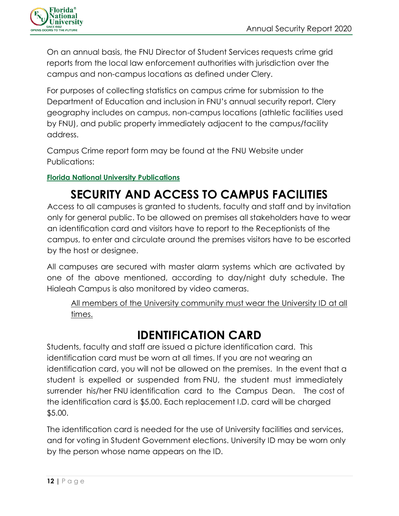

On an annual basis, the FNU Director of Student Services requests crime grid reports from the local law enforcement authorities with jurisdiction over the campus and non-campus locations as defined under Clery.

For purposes of collecting statistics on campus crime for submission to the Department of Education and inclusion in FNU's annual security report, Clery geography includes on campus, non-campus locations (athletic facilities used by FNU), and public property immediately adjacent to the campus/facility address.

Campus Crime report form may be found at the FNU Website under Publications:

#### <span id="page-11-0"></span>**[Florida National University Publications](https://www.fnu.edu/current-students/publications/?preview=true)**

#### **SECURITY AND ACCESS TO CAMPUS FACILITIES**

Access to all campuses is granted to students, faculty and staff and by invitation only for general public. To be allowed on premises all stakeholders have to wear an identification card and visitors have to report to the Receptionists of the campus, to enter and circulate around the premises visitors have to be escorted by the host or designee.

All campuses are secured with master alarm systems which are activated by one of the above mentioned, according to day/night duty schedule. The Hialeah Campus is also monitored by video cameras.

All members of the University community must wear the University ID at all times.

#### **IDENTIFICATION CARD**

<span id="page-11-1"></span>Students, faculty and staff are issued a picture identification card. This identification card must be worn at all times. If you are not wearing an identification card, you will not be allowed on the premises. In the event that a student is expelled or suspended from FNU, the student must immediately surrender his/her FNU identification card to the Campus Dean. The cost of the identification card is \$5.00. Each replacement I.D. card will be charged \$5.00.

The identification card is needed for the use of University facilities and services, and for voting in Student Government elections. University ID may be worn only by the person whose name appears on the ID.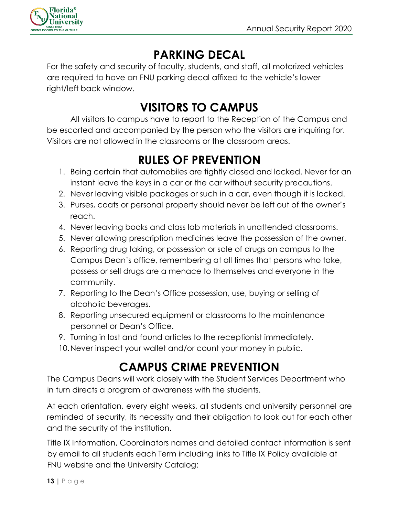

# **PARKING DECAL**

<span id="page-12-0"></span>For the safety and security of faculty, students, and staff, all motorized vehicles are required to have an FNU parking decal affixed to the vehicle's lower right/left back window.

### **VISITORS TO CAMPUS**

<span id="page-12-1"></span>All visitors to campus have to report to the Reception of the Campus and be escorted and accompanied by the person who the visitors are inquiring for. Visitors are not allowed in the classrooms or the classroom areas.

### **RULES OF PREVENTION**

- <span id="page-12-2"></span>1. Being certain that automobiles are tightly closed and locked. Never for an instant leave the keys in a car or the car without security precautions.
- 2. Never leaving visible packages or such in a car, even though it is locked.
- 3. Purses, coats or personal property should never be left out of the owner's reach.
- 4. Never leaving books and class lab materials in unattended classrooms.
- 5. Never allowing prescription medicines leave the possession of the owner.
- 6. Reporting drug taking, or possession or sale of drugs on campus to the Campus Dean's office, remembering at all times that persons who take, possess or sell drugs are a menace to themselves and everyone in the community.
- 7. Reporting to the Dean's Office possession, use, buying or selling of alcoholic beverages.
- 8. Reporting unsecured equipment or classrooms to the maintenance personnel or Dean's Office.
- 9. Turning in lost and found articles to the receptionist immediately.
- 10.Never inspect your wallet and/or count your money in public.

### **CAMPUS CRIME PREVENTION**

<span id="page-12-3"></span>The Campus Deans will work closely with the Student Services Department who in turn directs a program of awareness with the students.

At each orientation, every eight weeks, all students and university personnel are reminded of security, its necessity and their obligation to look out for each other and the security of the institution.

Title IX Information, Coordinators names and detailed contact information is sent by email to all students each Term including links to Title IX Policy available at FNU website and the University Catalog: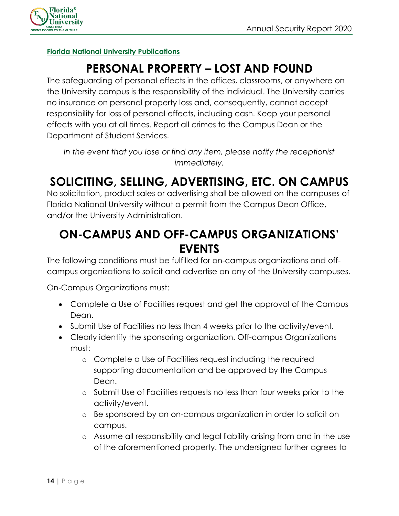

#### <span id="page-13-0"></span>**[Florida National University Publications](https://www.fnu.edu/current-students/publications/?preview=true)**

### **PERSONAL PROPERTY – LOST AND FOUND**

The safeguarding of personal effects in the offices, classrooms, or anywhere on the University campus is the responsibility of the individual. The University carries no insurance on personal property loss and, consequently, cannot accept responsibility for loss of personal effects, including cash. Keep your personal effects with you at all times. Report all crimes to the Campus Dean or the Department of Student Services.

*In the event that you lose or find any item, please notify the receptionist immediately.*

### <span id="page-13-1"></span>**SOLICITING, SELLING, ADVERTISING, ETC. ON CAMPUS**

No solicitation, product sales or advertising shall be allowed on the campuses of Florida National University without a permit from the Campus Dean Office, and/or the University Administration.

#### <span id="page-13-2"></span>**ON-CAMPUS AND OFF-CAMPUS ORGANIZATIONS' EVENTS**

The following conditions must be fulfilled for on-campus organizations and offcampus organizations to solicit and advertise on any of the University campuses.

On-Campus Organizations must:

- Complete a Use of Facilities request and get the approval of the Campus Dean.
- Submit Use of Facilities no less than 4 weeks prior to the activity/event.
- Clearly identify the sponsoring organization. Off-campus Organizations must:
	- o Complete a Use of Facilities request including the required supporting documentation and be approved by the Campus Dean.
	- o Submit Use of Facilities requests no less than four weeks prior to the activity/event.
	- o Be sponsored by an on-campus organization in order to solicit on campus.
	- o Assume all responsibility and legal liability arising from and in the use of the aforementioned property. The undersigned further agrees to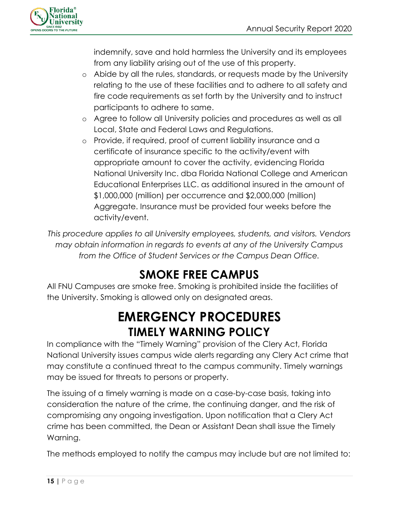

indemnify, save and hold harmless the University and its employees from any liability arising out of the use of this property.

- o Abide by all the rules, standards, or requests made by the University relating to the use of these facilities and to adhere to all safety and fire code requirements as set forth by the University and to instruct participants to adhere to same.
- o Agree to follow all University policies and procedures as well as all Local, State and Federal Laws and Regulations.
- o Provide, if required, proof of current liability insurance and a certificate of insurance specific to the activity/event with appropriate amount to cover the activity, evidencing Florida National University Inc. dba Florida National College and American Educational Enterprises LLC. as additional insured in the amount of \$1,000,000 (million) per occurrence and \$2,000,000 (million) Aggregate. Insurance must be provided four weeks before the activity/event.

*This procedure applies to all University employees, students, and visitors. Vendors may obtain information in regards to events at any of the University Campus from the Office of Student Services or the Campus Dean Office.*

### **SMOKE FREE CAMPUS**

<span id="page-14-1"></span><span id="page-14-0"></span>All FNU Campuses are smoke free. Smoking is prohibited inside the facilities of the University. Smoking is allowed only on designated areas.

### **EMERGENCY PROCEDURES TIMELY WARNING POLICY**

<span id="page-14-2"></span>In compliance with the "Timely Warning" provision of the Clery Act, Florida National University issues campus wide alerts regarding any Clery Act crime that may constitute a continued threat to the campus community. Timely warnings may be issued for threats to persons or property.

The issuing of a timely warning is made on a case-by-case basis, taking into consideration the nature of the crime, the continuing danger, and the risk of compromising any ongoing investigation. Upon notification that a Clery Act crime has been committed, the Dean or Assistant Dean shall issue the Timely Warning.

The methods employed to notify the campus may include but are not limited to: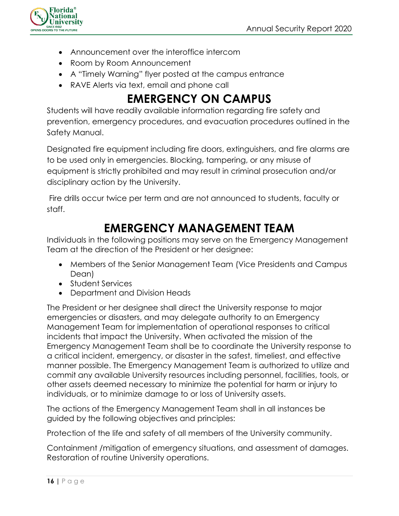

- Announcement over the interoffice intercom
- Room by Room Announcement
- A "Timely Warning" flyer posted at the campus entrance
- RAVE Alerts via text, email and phone call

### **EMERGENCY ON CAMPUS**

<span id="page-15-0"></span>Students will have readily available information regarding fire safety and prevention, emergency procedures, and evacuation procedures outlined in the Safety Manual.

Designated fire equipment including fire doors, extinguishers, and fire alarms are to be used only in emergencies. Blocking, tampering, or any misuse of equipment is strictly prohibited and may result in criminal prosecution and/or disciplinary action by the University.

Fire drills occur twice per term and are not announced to students, faculty or staff.

### **EMERGENCY MANAGEMENT TEAM**

<span id="page-15-1"></span>Individuals in the following positions may serve on the Emergency Management Team at the direction of the President or her designee:

- Members of the Senior Management Team (Vice Presidents and Campus Dean)
- Student Services
- Department and Division Heads

The President or her designee shall direct the University response to major emergencies or disasters, and may delegate authority to an Emergency Management Team for implementation of operational responses to critical incidents that impact the University. When activated the mission of the Emergency Management Team shall be to coordinate the University response to a critical incident, emergency, or disaster in the safest, timeliest, and effective manner possible. The Emergency Management Team is authorized to utilize and commit any available University resources including personnel, facilities, tools, or other assets deemed necessary to minimize the potential for harm or injury to individuals, or to minimize damage to or loss of University assets.

The actions of the Emergency Management Team shall in all instances be guided by the following objectives and principles:

Protection of the life and safety of all members of the University community.

Containment /mitigation of emergency situations, and assessment of damages. Restoration of routine University operations.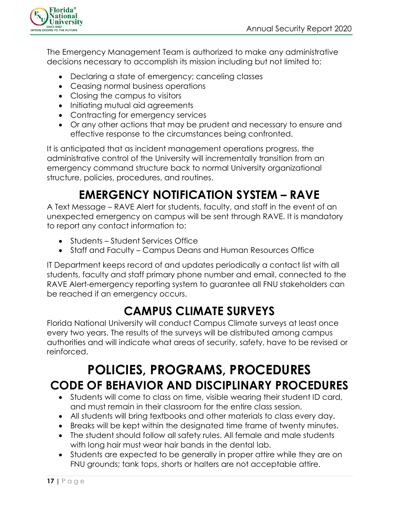

The Emergency Management Team is authorized to make any administrative decisions necessary to accomplish its mission including but not limited to:

- Declaring a state of emergency; canceling classes
- Ceasing normal business operations
- Closing the campus to visitors
- Initiating mutual aid agreements
- Contracting for emergency services
- Or any other actions that may be prudent and necessary to ensure and effective response to the circumstances being confronted.

It is anticipated that as incident management operations progress, the administrative control of the University will incrementally transition from an emergency command structure back to normal University organizational structure, policies, procedures, and routines.

#### **EMERGENCY NOTIFICATION SYSTEM – RAVE**

<span id="page-16-0"></span>A Text Message – RAVE Alert for students, faculty, and staff in the event of an unexpected emergency on campus will be sent through RAVE. It is mandatory to report any contact information to:

- Students Student Services Office
- Staff and Faculty Campus Deans and Human Resources Office

IT Department keeps record of and updates periodically a contact list with all students, faculty and staff primary phone number and email, connected to the RAVE Alert-emergency reporting system to guarantee all FNU stakeholders can be reached if an emergency occurs.

#### **CAMPUS CLIMATE SURVEYS**

<span id="page-16-1"></span>Florida National University will conduct Campus Climate surveys at least once every two years. The results of the surveys will be distributed among campus authorities and will indicate what areas of security, safety, have to be revised or reinforced.

### <span id="page-16-3"></span><span id="page-16-2"></span>**POLICIES, PROGRAMS, PROCEDURES CODE OF BEHAVIOR AND DISCIPLINARY PROCEDURES**

- Students will come to class on time, visible wearing their student ID card, and must remain in their classroom for the entire class session.
- All students will bring textbooks and other materials to class every day.
- Breaks will be kept within the designated time frame of twenty minutes.
- The student should follow all safety rules. All female and male students with long hair must wear hair bands in the dental lab.
- Students are expected to be generally in proper attire while they are on FNU grounds; tank tops, shorts or halters are not acceptable attire.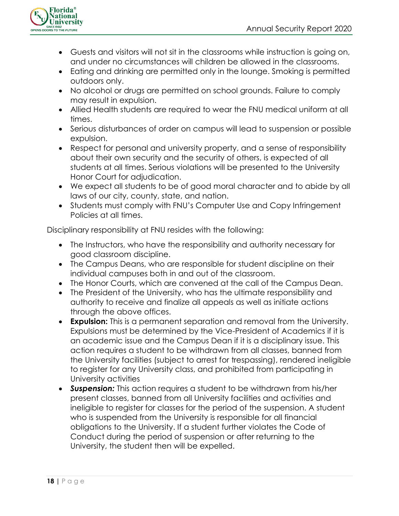

- Guests and visitors will not sit in the classrooms while instruction is going on, and under no circumstances will children be allowed in the classrooms.
- Eating and drinking are permitted only in the lounge. Smoking is permitted outdoors only.
- No alcohol or drugs are permitted on school grounds. Failure to comply may result in expulsion.
- Allied Health students are required to wear the FNU medical uniform at all times.
- Serious disturbances of order on campus will lead to suspension or possible expulsion.
- Respect for personal and university property, and a sense of responsibility about their own security and the security of others, is expected of all students at all times. Serious violations will be presented to the University Honor Court for adjudication.
- We expect all students to be of good moral character and to abide by all laws of our city, county, state, and nation.
- Students must comply with FNU's Computer Use and Copy Infringement Policies at all times.

Disciplinary responsibility at FNU resides with the following:

- The Instructors, who have the responsibility and authority necessary for good classroom discipline.
- The Campus Deans, who are responsible for student discipline on their individual campuses both in and out of the classroom.
- The Honor Courts, which are convened at the call of the Campus Dean.
- The President of the University, who has the ultimate responsibility and authority to receive and finalize all appeals as well as initiate actions through the above offices.
- **Expulsion:** This is a permanent separation and removal from the University. Expulsions must be determined by the Vice-President of Academics if it is an academic issue and the Campus Dean if it is a disciplinary issue. This action requires a student to be withdrawn from all classes, banned from the University facilities (subject to arrest for trespassing), rendered ineligible to register for any University class, and prohibited from participating in University activities
- *Suspension:* This action requires a student to be withdrawn from his/her present classes, banned from all University facilities and activities and ineligible to register for classes for the period of the suspension. A student who is suspended from the University is responsible for all financial obligations to the University. If a student further violates the Code of Conduct during the period of suspension or after returning to the University, the student then will be expelled.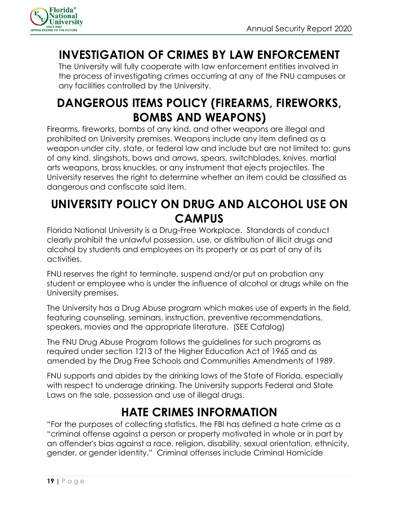

#### <span id="page-18-0"></span>**INVESTIGATION OF CRIMES BY LAW ENFORCEMENT**

The University will fully cooperate with law enforcement entities involved in the process of investigating crimes occurring at any of the FNU campuses or any facilities controlled by the University.

### <span id="page-18-1"></span>**DANGEROUS ITEMS POLICY (FIREARMS, FIREWORKS, BOMBS AND WEAPONS)**

Firearms, fireworks, bombs of any kind, and other weapons are illegal and prohibited on University premises. Weapons include any item defined as a weapon under city, state, or federal law and include but are not limited to: guns of any kind, slingshots, bows and arrows, spears, switchblades, knives, martial arts weapons, brass knuckles, or any instrument that ejects projectiles. The University reserves the right to determine whether an item could be classified as dangerous and confiscate said item.

### <span id="page-18-2"></span>**UNIVERSITY POLICY ON DRUG AND ALCOHOL USE ON CAMPUS**

Florida National University is a Drug-Free Workplace. Standards of conduct clearly prohibit the unlawful possession, use, or distribution of illicit drugs and alcohol by students and employees on its property or as part of any of its activities.

FNU reserves the right to terminate, suspend and/or put on probation any student or employee who is under the influence of alcohol or drugs while on the University premises.

The University has a Drug Abuse program which makes use of experts in the field, featuring counseling, seminars, instruction, preventive recommendations, speakers, movies and the appropriate literature. (SEE Catalog)

The FNU Drug Abuse Program follows the guidelines for such programs as required under section 1213 of the Higher Education Act of 1965 and as amended by the Drug Free Schools and Communities Amendments of 1989.

FNU supports and abides by the drinking laws of the State of Florida, especially with respect to underage drinking. The University supports Federal and State Laws on the sale, possession and use of illegal drugs.

# **HATE CRIMES INFORMATION**

<span id="page-18-3"></span>"For the purposes of collecting statistics, the FBI has defined a hate crime as a "criminal offense against a person or property motivated in whole or in part by an offender's bias against a race, religion, disability, sexual orientation, ethnicity, gender, or gender identity." Criminal offenses include Criminal Homicide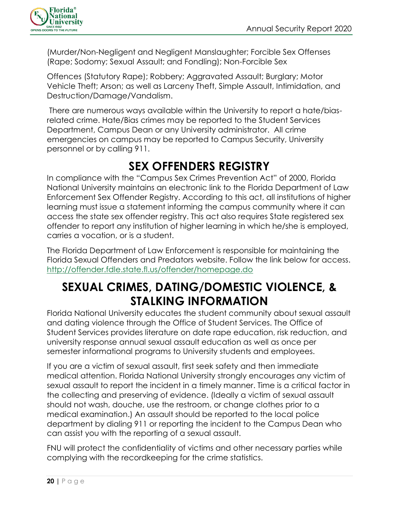

(Murder/Non-Negligent and Negligent Manslaughter; Forcible Sex Offenses (Rape; Sodomy; Sexual Assault; and Fondling); Non-Forcible Sex

Offences (Statutory Rape); Robbery; Aggravated Assault; Burglary; Motor Vehicle Theft; Arson; as well as Larceny Theft, Simple Assault, Intimidation, and Destruction/Damage/Vandalism.

There are numerous ways available within the University to report a hate/biasrelated crime. Hate/Bias crimes may be reported to the Student Services Department, Campus Dean or any University administrator. All crime emergencies on campus may be reported to Campus Security, University personnel or by calling 911.

### **SEX OFFENDERS REGISTRY**

<span id="page-19-0"></span>In compliance with the "Campus Sex Crimes Prevention Act" of 2000, Florida National University maintains an electronic link to the Florida Department of Law Enforcement Sex Offender Registry. According to this act, all institutions of higher learning must issue a statement informing the campus community where it can access the state sex offender registry. This act also requires State registered sex offender to report any institution of higher learning in which he/she is employed, carries a vocation, or is a student.

The Florida Department of Law Enforcement is responsible for maintaining the Florida Sexual Offenders and Predators website. Follow the link below for access. <http://offender.fdle.state.fl.us/offender/homepage.do>

#### <span id="page-19-1"></span>**SEXUAL CRIMES, DATING/DOMESTIC VIOLENCE, & STALKING INFORMATION**

Florida National University educates the student community about sexual assault and dating violence through the Office of Student Services. The Office of Student Services provides literature on date rape education, risk reduction, and university response annual sexual assault education as well as once per semester informational programs to University students and employees.

If you are a victim of sexual assault, first seek safety and then immediate medical attention. Florida National University strongly encourages any victim of sexual assault to report the incident in a timely manner. Time is a critical factor in the collecting and preserving of evidence. (Ideally a victim of sexual assault should not wash, douche, use the restroom, or change clothes prior to a medical examination.) An assault should be reported to the local police department by dialing 911 or reporting the incident to the Campus Dean who can assist you with the reporting of a sexual assault.

FNU will protect the confidentiality of victims and other necessary parties while complying with the recordkeeping for the crime statistics.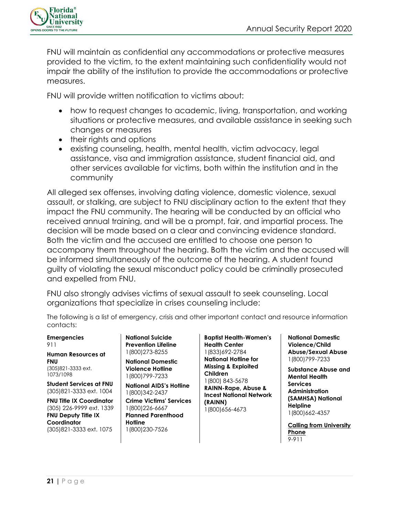

FNU will maintain as confidential any accommodations or protective measures provided to the victim, to the extent maintaining such confidentiality would not impair the ability of the institution to provide the accommodations or protective measures.

FNU will provide written notification to victims about:

- how to request changes to academic, living, transportation, and working situations or protective measures, and available assistance in seeking such changes or measures
- their rights and options
- existing counseling, health, mental health, victim advocacy, legal assistance, visa and immigration assistance, student financial aid, and other services available for victims, both within the institution and in the community

All alleged sex offenses, involving dating violence, domestic violence, sexual assault, or stalking, are subject to FNU disciplinary action to the extent that they impact the FNU community. The hearing will be conducted by an official who received annual training, and will be a prompt, fair, and impartial process. The decision will be made based on a clear and convincing evidence standard. Both the victim and the accused are entitled to choose one person to accompany them throughout the hearing. Both the victim and the accused will be informed simultaneously of the outcome of the hearing. A student found guilty of violating the sexual misconduct policy could be criminally prosecuted and expelled from FNU.

FNU also strongly advises victims of sexual assault to seek counseling. Local organizations that specialize in crises counseling include:

The following is a list of emergency, crisis and other important contact and resource information contacts:

911 **Human Resources at FNU** (305)821-3333 ext. 1073/1098

**Emergencies**

**Student Services at FNU** (305)821-3333 ext. 1004

**FNU Title IX Coordinator** (305) 226-9999 ext. 1339 **FNU Deputy Title IX Coordinator**

(305)821-3333 ext. 1075

**National Suicide Prevention Lifeline** 1(800)273-8255

**National Domestic Violence Hotline** 1(800)799-7233

**National AIDS's Hotline** 1(800)342-2437 **Crime Victims' Services** 1(800)226-6667 **Planned Parenthood Hotline**

1(800)230-7526

**Baptist Health-Women's Health Center** 1(833)692-2784 **National Hotline for Missing & Exploited Children** 1(800) 843-5678 **RAINN-Rape, Abuse & Incest National Network (RAINN)** 1(800)656-4673

**National Domestic Violence/Child Abuse/Sexual Abuse** 1(800)799-7233

**Substance Abuse and Mental Health Services Administration (SAMHSA) National Helpline** 1(800)662-4357

**Calling from University Phone** 9-911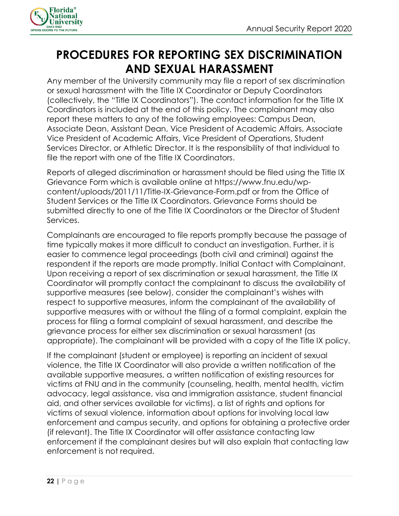

#### <span id="page-21-0"></span>**PROCEDURES FOR REPORTING SEX DISCRIMINATION AND SEXUAL HARASSMENT**

Any member of the University community may file a report of sex discrimination or sexual harassment with the Title IX Coordinator or Deputy Coordinators (collectively, the "Title IX Coordinators"). The contact information for the Title IX Coordinators is included at the end of this policy. The complainant may also report these matters to any of the following employees: Campus Dean, Associate Dean, Assistant Dean, Vice President of Academic Affairs, Associate Vice President of Academic Affairs, Vice President of Operations, Student Services Director, or Athletic Director. It is the responsibility of that individual to file the report with one of the Title IX Coordinators.

Reports of alleged discrimination or harassment should be filed using the Title IX Grievance Form which is available online at https://www.fnu.edu/wpcontent/uploads/2011/11/Title-IX-Grievance-Form.pdf or from the Office of Student Services or the Title IX Coordinators. Grievance Forms should be submitted directly to one of the Title IX Coordinators or the Director of Student Services.

Complainants are encouraged to file reports promptly because the passage of time typically makes it more difficult to conduct an investigation. Further, it is easier to commence legal proceedings (both civil and criminal) against the respondent if the reports are made promptly. Initial Contact with Complainant. Upon receiving a report of sex discrimination or sexual harassment, the Title IX Coordinator will promptly contact the complainant to discuss the availability of supportive measures (see below), consider the complainant's wishes with respect to supportive measures, inform the complainant of the availability of supportive measures with or without the filing of a formal complaint, explain the process for filing a formal complaint of sexual harassment, and describe the grievance process for either sex discrimination or sexual harassment (as appropriate). The complainant will be provided with a copy of the Title IX policy.

If the complainant (student or employee) is reporting an incident of sexual violence, the Title IX Coordinator will also provide a written notification of the available supportive measures, a written notification of existing resources for victims at FNU and in the community (counseling, health, mental health, victim advocacy, legal assistance, visa and immigration assistance, student financial aid, and other services available for victims), a list of rights and options for victims of sexual violence, information about options for involving local law enforcement and campus security, and options for obtaining a protective order (if relevant). The Title IX Coordinator will offer assistance contacting law enforcement if the complainant desires but will also explain that contacting law enforcement is not required.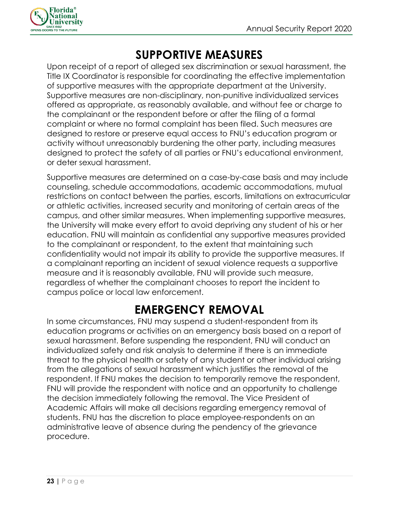

### **SUPPORTIVE MEASURES**

<span id="page-22-0"></span>Upon receipt of a report of alleged sex discrimination or sexual harassment, the Title IX Coordinator is responsible for coordinating the effective implementation of supportive measures with the appropriate department at the University. Supportive measures are non-disciplinary, non-punitive individualized services offered as appropriate, as reasonably available, and without fee or charge to the complainant or the respondent before or after the filing of a formal complaint or where no formal complaint has been filed. Such measures are designed to restore or preserve equal access to FNU's education program or activity without unreasonably burdening the other party, including measures designed to protect the safety of all parties or FNU's educational environment, or deter sexual harassment.

Supportive measures are determined on a case-by-case basis and may include counseling, schedule accommodations, academic accommodations, mutual restrictions on contact between the parties, escorts, limitations on extracurricular or athletic activities, increased security and monitoring of certain areas of the campus, and other similar measures. When implementing supportive measures, the University will make every effort to avoid depriving any student of his or her education. FNU will maintain as confidential any supportive measures provided to the complainant or respondent, to the extent that maintaining such confidentiality would not impair its ability to provide the supportive measures. If a complainant reporting an incident of sexual violence requests a supportive measure and it is reasonably available, FNU will provide such measure, regardless of whether the complainant chooses to report the incident to campus police or local law enforcement.

### **EMERGENCY REMOVAL**

<span id="page-22-1"></span>In some circumstances, FNU may suspend a student-respondent from its education programs or activities on an emergency basis based on a report of sexual harassment. Before suspending the respondent, FNU will conduct an individualized safety and risk analysis to determine if there is an immediate threat to the physical health or safety of any student or other individual arising from the allegations of sexual harassment which justifies the removal of the respondent. If FNU makes the decision to temporarily remove the respondent, FNU will provide the respondent with notice and an opportunity to challenge the decision immediately following the removal. The Vice President of Academic Affairs will make all decisions regarding emergency removal of students. FNU has the discretion to place employee-respondents on an administrative leave of absence during the pendency of the grievance procedure.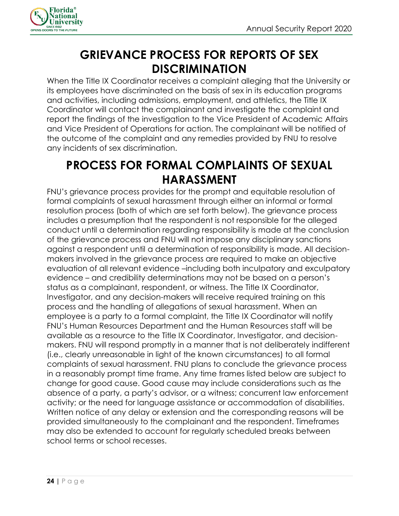

#### **GRIEVANCE PROCESS FOR REPORTS OF SEX DISCRIMINATION**

<span id="page-23-0"></span>When the Title IX Coordinator receives a complaint alleging that the University or its employees have discriminated on the basis of sex in its education programs and activities, including admissions, employment, and athletics, the Title IX Coordinator will contact the complainant and investigate the complaint and report the findings of the investigation to the Vice President of Academic Affairs and Vice President of Operations for action. The complainant will be notified of the outcome of the complaint and any remedies provided by FNU to resolve any incidents of sex discrimination.

#### <span id="page-23-1"></span>**PROCESS FOR FORMAL COMPLAINTS OF SEXUAL HARASSMENT**

FNU's grievance process provides for the prompt and equitable resolution of formal complaints of sexual harassment through either an informal or formal resolution process (both of which are set forth below). The grievance process includes a presumption that the respondent is not responsible for the alleged conduct until a determination regarding responsibility is made at the conclusion of the grievance process and FNU will not impose any disciplinary sanctions against a respondent until a determination of responsibility is made. All decisionmakers involved in the grievance process are required to make an objective evaluation of all relevant evidence –including both inculpatory and exculpatory evidence – and credibility determinations may not be based on a person's status as a complainant, respondent, or witness. The Title IX Coordinator, Investigator, and any decision-makers will receive required training on this process and the handling of allegations of sexual harassment. When an employee is a party to a formal complaint, the Title IX Coordinator will notify FNU's Human Resources Department and the Human Resources staff will be available as a resource to the Title IX Coordinator, Investigator, and decisionmakers. FNU will respond promptly in a manner that is not deliberately indifferent (i.e., clearly unreasonable in light of the known circumstances) to all formal complaints of sexual harassment. FNU plans to conclude the grievance process in a reasonably prompt time frame. Any time frames listed below are subject to change for good cause. Good cause may include considerations such as the absence of a party, a party's advisor, or a witness; concurrent law enforcement activity; or the need for language assistance or accommodation of disabilities. Written notice of any delay or extension and the corresponding reasons will be provided simultaneously to the complainant and the respondent. Timeframes may also be extended to account for regularly scheduled breaks between school terms or school recesses.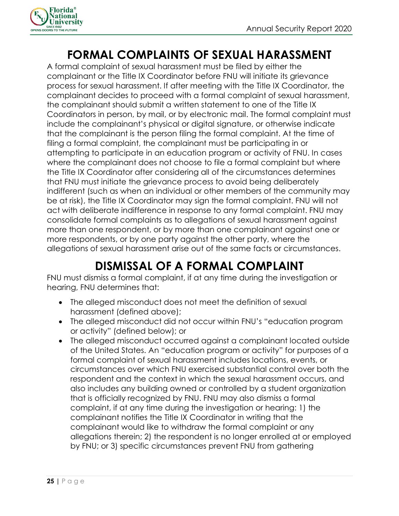

#### **FORMAL COMPLAINTS OF SEXUAL HARASSMENT**

<span id="page-24-0"></span>A formal complaint of sexual harassment must be filed by either the complainant or the Title IX Coordinator before FNU will initiate its grievance process for sexual harassment. If after meeting with the Title IX Coordinator, the complainant decides to proceed with a formal complaint of sexual harassment, the complainant should submit a written statement to one of the Title IX Coordinators in person, by mail, or by electronic mail. The formal complaint must include the complainant's physical or digital signature, or otherwise indicate that the complainant is the person filing the formal complaint. At the time of filing a formal complaint, the complainant must be participating in or attempting to participate in an education program or activity of FNU. In cases where the complainant does not choose to file a formal complaint but where the Title IX Coordinator after considering all of the circumstances determines that FNU must initiate the grievance process to avoid being deliberately indifferent (such as when an individual or other members of the community may be at risk), the Title IX Coordinator may sign the formal complaint. FNU will not act with deliberate indifference in response to any formal complaint. FNU may consolidate formal complaints as to allegations of sexual harassment against more than one respondent, or by more than one complainant against one or more respondents, or by one party against the other party, where the allegations of sexual harassment arise out of the same facts or circumstances.

#### **DISMISSAL OF A FORMAL COMPLAINT**

<span id="page-24-1"></span>FNU must dismiss a formal complaint, if at any time during the investigation or hearing, FNU determines that:

- The alleged misconduct does not meet the definition of sexual harassment (defined above);
- The alleged misconduct did not occur within FNU's "education program or activity" (defined below); or
- The alleged misconduct occurred against a complainant located outside of the United States. An "education program or activity" for purposes of a formal complaint of sexual harassment includes locations, events, or circumstances over which FNU exercised substantial control over both the respondent and the context in which the sexual harassment occurs, and also includes any building owned or controlled by a student organization that is officially recognized by FNU. FNU may also dismiss a formal complaint, if at any time during the investigation or hearing: 1) the complainant notifies the Title IX Coordinator in writing that the complainant would like to withdraw the formal complaint or any allegations therein; 2) the respondent is no longer enrolled at or employed by FNU; or 3) specific circumstances prevent FNU from gathering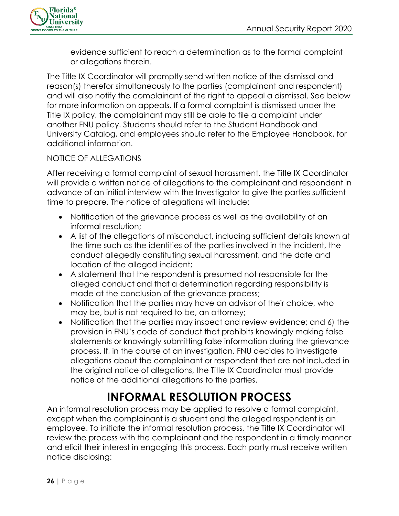

evidence sufficient to reach a determination as to the formal complaint or allegations therein.

The Title IX Coordinator will promptly send written notice of the dismissal and reason(s) therefor simultaneously to the parties (complainant and respondent) and will also notify the complainant of the right to appeal a dismissal. See below for more information on appeals. If a formal complaint is dismissed under the Title IX policy, the complainant may still be able to file a complaint under another FNU policy. Students should refer to the Student Handbook and University Catalog, and employees should refer to the Employee Handbook, for additional information.

#### NOTICE OF ALLEGATIONS

After receiving a formal complaint of sexual harassment, the Title IX Coordinator will provide a written notice of allegations to the complainant and respondent in advance of an initial interview with the Investigator to give the parties sufficient time to prepare. The notice of allegations will include:

- Notification of the grievance process as well as the availability of an informal resolution;
- A list of the allegations of misconduct, including sufficient details known at the time such as the identities of the parties involved in the incident, the conduct allegedly constituting sexual harassment, and the date and location of the alleged incident;
- A statement that the respondent is presumed not responsible for the alleged conduct and that a determination regarding responsibility is made at the conclusion of the grievance process;
- Notification that the parties may have an advisor of their choice, who may be, but is not required to be, an attorney;
- Notification that the parties may inspect and review evidence; and 6) the provision in FNU's code of conduct that prohibits knowingly making false statements or knowingly submitting false information during the grievance process. If, in the course of an investigation, FNU decides to investigate allegations about the complainant or respondent that are not included in the original notice of allegations, the Title IX Coordinator must provide notice of the additional allegations to the parties.

### **INFORMAL RESOLUTION PROCESS**

<span id="page-25-0"></span>An informal resolution process may be applied to resolve a formal complaint, except when the complainant is a student and the alleged respondent is an employee. To initiate the informal resolution process, the Title IX Coordinator will review the process with the complainant and the respondent in a timely manner and elicit their interest in engaging this process. Each party must receive written notice disclosing: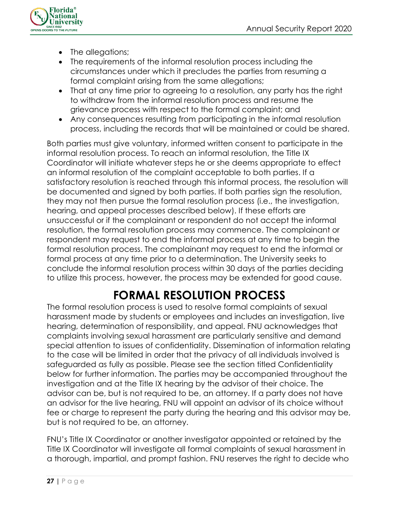

- The allegations;
- The requirements of the informal resolution process including the circumstances under which it precludes the parties from resuming a formal complaint arising from the same allegations;
- That at any time prior to agreeing to a resolution, any party has the right to withdraw from the informal resolution process and resume the grievance process with respect to the formal complaint; and
- Any consequences resulting from participating in the informal resolution process, including the records that will be maintained or could be shared.

Both parties must give voluntary, informed written consent to participate in the informal resolution process. To reach an informal resolution, the Title IX Coordinator will initiate whatever steps he or she deems appropriate to effect an informal resolution of the complaint acceptable to both parties. If a satisfactory resolution is reached through this informal process, the resolution will be documented and signed by both parties. If both parties sign the resolution, they may not then pursue the formal resolution process (i.e., the investigation, hearing, and appeal processes described below). If these efforts are unsuccessful or if the complainant or respondent do not accept the informal resolution, the formal resolution process may commence. The complainant or respondent may request to end the informal process at any time to begin the formal resolution process. The complainant may request to end the informal or formal process at any time prior to a determination. The University seeks to conclude the informal resolution process within 30 days of the parties deciding to utilize this process, however, the process may be extended for good cause.

# **FORMAL RESOLUTION PROCESS**

<span id="page-26-0"></span>The formal resolution process is used to resolve formal complaints of sexual harassment made by students or employees and includes an investigation, live hearing, determination of responsibility, and appeal. FNU acknowledges that complaints involving sexual harassment are particularly sensitive and demand special attention to issues of confidentiality. Dissemination of information relating to the case will be limited in order that the privacy of all individuals involved is safeguarded as fully as possible. Please see the section titled Confidentiality below for further information. The parties may be accompanied throughout the investigation and at the Title IX hearing by the advisor of their choice. The advisor can be, but is not required to be, an attorney. If a party does not have an advisor for the live hearing, FNU will appoint an advisor of its choice without fee or charge to represent the party during the hearing and this advisor may be, but is not required to be, an attorney.

FNU's Title IX Coordinator or another investigator appointed or retained by the Title IX Coordinator will investigate all formal complaints of sexual harassment in a thorough, impartial, and prompt fashion. FNU reserves the right to decide who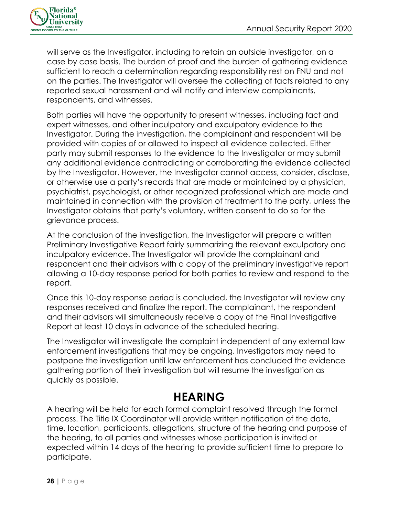

will serve as the Investigator, including to retain an outside investigator, on a case by case basis. The burden of proof and the burden of gathering evidence sufficient to reach a determination regarding responsibility rest on FNU and not on the parties. The Investigator will oversee the collecting of facts related to any reported sexual harassment and will notify and interview complainants, respondents, and witnesses.

Both parties will have the opportunity to present witnesses, including fact and expert witnesses, and other inculpatory and exculpatory evidence to the Investigator. During the investigation, the complainant and respondent will be provided with copies of or allowed to inspect all evidence collected. Either party may submit responses to the evidence to the Investigator or may submit any additional evidence contradicting or corroborating the evidence collected by the Investigator. However, the Investigator cannot access, consider, disclose, or otherwise use a party's records that are made or maintained by a physician, psychiatrist, psychologist, or other recognized professional which are made and maintained in connection with the provision of treatment to the party, unless the Investigator obtains that party's voluntary, written consent to do so for the grievance process.

At the conclusion of the investigation, the Investigator will prepare a written Preliminary Investigative Report fairly summarizing the relevant exculpatory and inculpatory evidence. The Investigator will provide the complainant and respondent and their advisors with a copy of the preliminary investigative report allowing a 10-day response period for both parties to review and respond to the report.

Once this 10-day response period is concluded, the Investigator will review any responses received and finalize the report. The complainant, the respondent and their advisors will simultaneously receive a copy of the Final Investigative Report at least 10 days in advance of the scheduled hearing.

The Investigator will investigate the complaint independent of any external law enforcement investigations that may be ongoing. Investigators may need to postpone the investigation until law enforcement has concluded the evidence gathering portion of their investigation but will resume the investigation as quickly as possible.

#### **HEARING**

<span id="page-27-0"></span>A hearing will be held for each formal complaint resolved through the formal process. The Title IX Coordinator will provide written notification of the date, time, location, participants, allegations, structure of the hearing and purpose of the hearing, to all parties and witnesses whose participation is invited or expected within 14 days of the hearing to provide sufficient time to prepare to participate.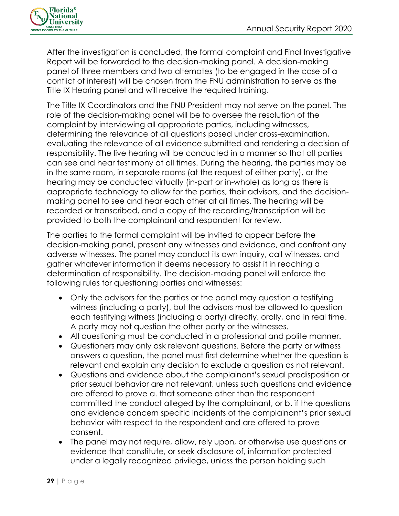

After the investigation is concluded, the formal complaint and Final Investigative Report will be forwarded to the decision-making panel. A decision-making panel of three members and two alternates (to be engaged in the case of a conflict of interest) will be chosen from the FNU administration to serve as the Title IX Hearing panel and will receive the required training.

The Title IX Coordinators and the FNU President may not serve on the panel. The role of the decision-making panel will be to oversee the resolution of the complaint by interviewing all appropriate parties, including witnesses, determining the relevance of all questions posed under cross-examination, evaluating the relevance of all evidence submitted and rendering a decision of responsibility. The live hearing will be conducted in a manner so that all parties can see and hear testimony at all times. During the hearing, the parties may be in the same room, in separate rooms (at the request of either party), or the hearing may be conducted virtually (in-part or in-whole) as long as there is appropriate technology to allow for the parties, their advisors, and the decisionmaking panel to see and hear each other at all times. The hearing will be recorded or transcribed, and a copy of the recording/transcription will be provided to both the complainant and respondent for review.

The parties to the formal complaint will be invited to appear before the decision-making panel, present any witnesses and evidence, and confront any adverse witnesses. The panel may conduct its own inquiry, call witnesses, and gather whatever information it deems necessary to assist it in reaching a determination of responsibility. The decision-making panel will enforce the following rules for questioning parties and witnesses:

- Only the advisors for the parties or the panel may question a testifying witness (including a party), but the advisors must be allowed to question each testifying witness (including a party) directly, orally, and in real time. A party may not question the other party or the witnesses.
- All questioning must be conducted in a professional and polite manner.
- Questioners may only ask relevant questions. Before the party or witness answers a question, the panel must first determine whether the question is relevant and explain any decision to exclude a question as not relevant.
- Questions and evidence about the complainant's sexual predisposition or prior sexual behavior are not relevant, unless such questions and evidence are offered to prove a. that someone other than the respondent committed the conduct alleged by the complainant, or b. if the questions and evidence concern specific incidents of the complainant's prior sexual behavior with respect to the respondent and are offered to prove consent.
- The panel may not require, allow, rely upon, or otherwise use questions or evidence that constitute, or seek disclosure of, information protected under a legally recognized privilege, unless the person holding such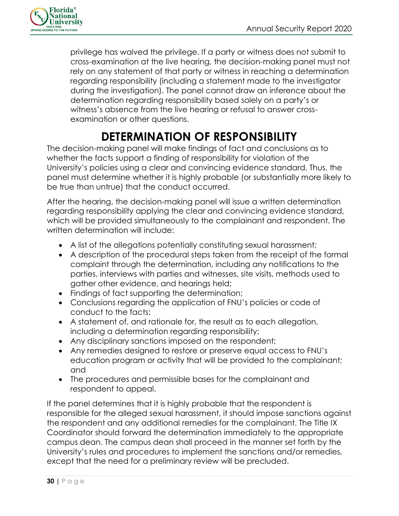

privilege has waived the privilege. If a party or witness does not submit to cross-examination at the live hearing, the decision-making panel must not rely on any statement of that party or witness in reaching a determination regarding responsibility (including a statement made to the investigator during the investigation). The panel cannot draw an inference about the determination regarding responsibility based solely on a party's or witness's absence from the live hearing or refusal to answer crossexamination or other questions.

# **DETERMINATION OF RESPONSIBILITY**

<span id="page-29-0"></span>The decision-making panel will make findings of fact and conclusions as to whether the facts support a finding of responsibility for violation of the University's policies using a clear and convincing evidence standard. Thus, the panel must determine whether it is highly probable (or substantially more likely to be true than untrue) that the conduct occurred.

After the hearing, the decision-making panel will issue a written determination regarding responsibility applying the clear and convincing evidence standard, which will be provided simultaneously to the complainant and respondent. The written determination will include:

- A list of the allegations potentially constituting sexual harassment;
- A description of the procedural steps taken from the receipt of the formal complaint through the determination, including any notifications to the parties, interviews with parties and witnesses, site visits, methods used to gather other evidence, and hearings held;
- Findings of fact supporting the determination;
- Conclusions regarding the application of FNU's policies or code of conduct to the facts;
- A statement of, and rationale for, the result as to each allegation, including a determination regarding responsibility;
- Any disciplinary sanctions imposed on the respondent;
- Any remedies designed to restore or preserve equal access to FNU's education program or activity that will be provided to the complainant; and
- The procedures and permissible bases for the complainant and respondent to appeal.

If the panel determines that it is highly probable that the respondent is responsible for the alleged sexual harassment, it should impose sanctions against the respondent and any additional remedies for the complainant. The Title IX Coordinator should forward the determination immediately to the appropriate campus dean. The campus dean shall proceed in the manner set forth by the University's rules and procedures to implement the sanctions and/or remedies, except that the need for a preliminary review will be precluded.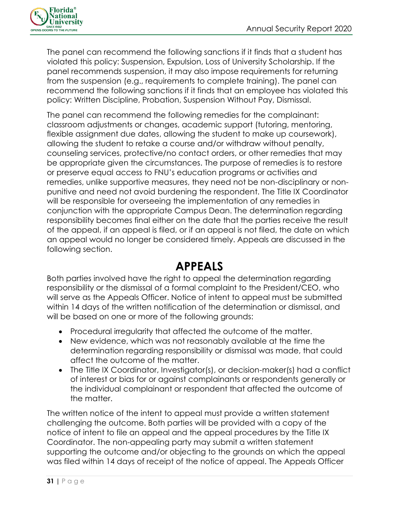

The panel can recommend the following sanctions if it finds that a student has violated this policy: Suspension, Expulsion, Loss of University Scholarship. If the panel recommends suspension, it may also impose requirements for returning from the suspension (e.g., requirements to complete training). The panel can recommend the following sanctions if it finds that an employee has violated this policy: Written Discipline, Probation, Suspension Without Pay, Dismissal.

The panel can recommend the following remedies for the complainant: classroom adjustments or changes, academic support (tutoring, mentoring, flexible assignment due dates, allowing the student to make up coursework), allowing the student to retake a course and/or withdraw without penalty, counseling services, protective/no contact orders, or other remedies that may be appropriate given the circumstances. The purpose of remedies is to restore or preserve equal access to FNU's education programs or activities and remedies, unlike supportive measures, they need not be non-disciplinary or nonpunitive and need not avoid burdening the respondent. The Title IX Coordinator will be responsible for overseeing the implementation of any remedies in conjunction with the appropriate Campus Dean. The determination regarding responsibility becomes final either on the date that the parties receive the result of the appeal, if an appeal is filed, or if an appeal is not filed, the date on which an appeal would no longer be considered timely. Appeals are discussed in the following section.

#### **APPEALS**

<span id="page-30-0"></span>Both parties involved have the right to appeal the determination regarding responsibility or the dismissal of a formal complaint to the President/CEO, who will serve as the Appeals Officer. Notice of intent to appeal must be submitted within 14 days of the written notification of the determination or dismissal, and will be based on one or more of the following grounds:

- Procedural irregularity that affected the outcome of the matter.
- New evidence, which was not reasonably available at the time the determination regarding responsibility or dismissal was made, that could affect the outcome of the matter.
- The Title IX Coordinator, Investigator(s), or decision-maker(s) had a conflict of interest or bias for or against complainants or respondents generally or the individual complainant or respondent that affected the outcome of the matter.

The written notice of the intent to appeal must provide a written statement challenging the outcome. Both parties will be provided with a copy of the notice of intent to file an appeal and the appeal procedures by the Title IX Coordinator. The non-appealing party may submit a written statement supporting the outcome and/or objecting to the grounds on which the appeal was filed within 14 days of receipt of the notice of appeal. The Appeals Officer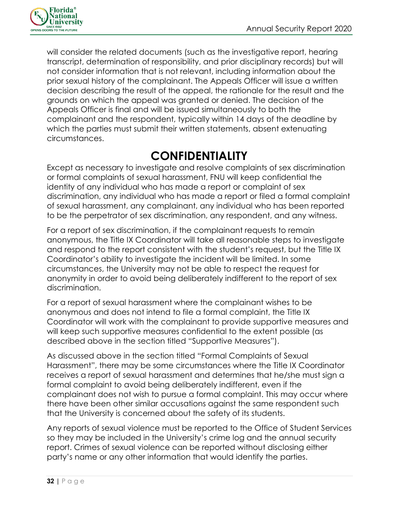

will consider the related documents (such as the investigative report, hearing transcript, determination of responsibility, and prior disciplinary records) but will not consider information that is not relevant, including information about the prior sexual history of the complainant. The Appeals Officer will issue a written decision describing the result of the appeal, the rationale for the result and the grounds on which the appeal was granted or denied. The decision of the Appeals Officer is final and will be issued simultaneously to both the complainant and the respondent, typically within 14 days of the deadline by which the parties must submit their written statements, absent extenuating circumstances.

#### **CONFIDENTIALITY**

<span id="page-31-0"></span>Except as necessary to investigate and resolve complaints of sex discrimination or formal complaints of sexual harassment, FNU will keep confidential the identity of any individual who has made a report or complaint of sex discrimination, any individual who has made a report or filed a formal complaint of sexual harassment, any complainant, any individual who has been reported to be the perpetrator of sex discrimination, any respondent, and any witness.

For a report of sex discrimination, if the complainant requests to remain anonymous, the Title IX Coordinator will take all reasonable steps to investigate and respond to the report consistent with the student's request, but the Title IX Coordinator's ability to investigate the incident will be limited. In some circumstances, the University may not be able to respect the request for anonymity in order to avoid being deliberately indifferent to the report of sex discrimination.

For a report of sexual harassment where the complainant wishes to be anonymous and does not intend to file a formal complaint, the Title IX Coordinator will work with the complainant to provide supportive measures and will keep such supportive measures confidential to the extent possible (as described above in the section titled "Supportive Measures").

As discussed above in the section titled "Formal Complaints of Sexual Harassment", there may be some circumstances where the Title IX Coordinator receives a report of sexual harassment and determines that he/she must sign a formal complaint to avoid being deliberately indifferent, even if the complainant does not wish to pursue a formal complaint. This may occur where there have been other similar accusations against the same respondent such that the University is concerned about the safety of its students.

Any reports of sexual violence must be reported to the Office of Student Services so they may be included in the University's crime log and the annual security report. Crimes of sexual violence can be reported without disclosing either party's name or any other information that would identify the parties.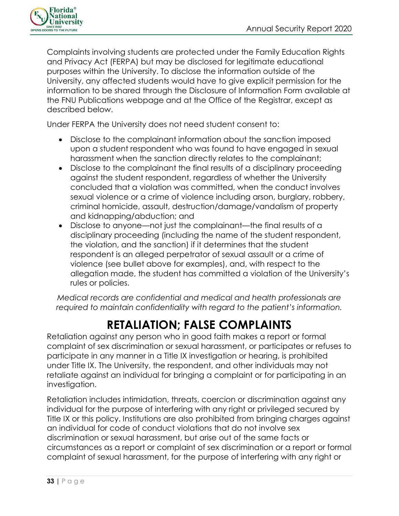

Complaints involving students are protected under the Family Education Rights and Privacy Act (FERPA) but may be disclosed for legitimate educational purposes within the University. To disclose the information outside of the University, any affected students would have to give explicit permission for the information to be shared through the Disclosure of Information Form available at the FNU Publications webpage and at the Office of the Registrar, except as described below.

Under FERPA the University does not need student consent to:

- Disclose to the complainant information about the sanction imposed upon a student respondent who was found to have engaged in sexual harassment when the sanction directly relates to the complainant;
- Disclose to the complainant the final results of a disciplinary proceeding against the student respondent, regardless of whether the University concluded that a violation was committed, when the conduct involves sexual violence or a crime of violence including arson, burglary, robbery, criminal homicide, assault, destruction/damage/vandalism of property and kidnapping/abduction; and
- Disclose to anyone—not just the complainant—the final results of a disciplinary proceeding (including the name of the student respondent, the violation, and the sanction) if it determines that the student respondent is an alleged perpetrator of sexual assault or a crime of violence (see bullet above for examples), and, with respect to the allegation made, the student has committed a violation of the University's rules or policies.

*Medical records are confidential and medical and health professionals are required to maintain confidentiality with regard to the patient's information.*

### **RETALIATION; FALSE COMPLAINTS**

<span id="page-32-0"></span>Retaliation against any person who in good faith makes a report or formal complaint of sex discrimination or sexual harassment, or participates or refuses to participate in any manner in a Title IX investigation or hearing, is prohibited under Title IX. The University, the respondent, and other individuals may not retaliate against an individual for bringing a complaint or for participating in an investigation.

Retaliation includes intimidation, threats, coercion or discrimination against any individual for the purpose of interfering with any right or privileged secured by Title IX or this policy. Institutions are also prohibited from bringing charges against an individual for code of conduct violations that do not involve sex discrimination or sexual harassment, but arise out of the same facts or circumstances as a report or complaint of sex discrimination or a report or formal complaint of sexual harassment, for the purpose of interfering with any right or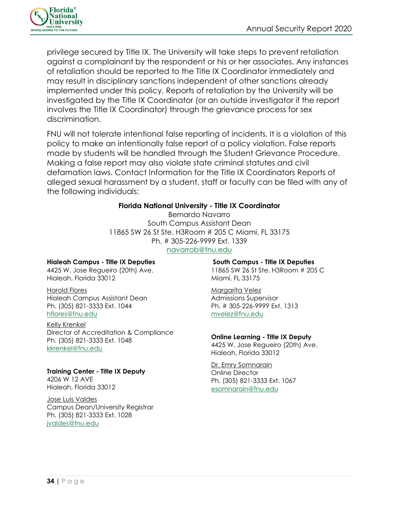

privilege secured by Title IX. The University will take steps to prevent retaliation against a complainant by the respondent or his or her associates. Any instances of retaliation should be reported to the Title IX Coordinator immediately and may result in disciplinary sanctions independent of other sanctions already implemented under this policy. Reports of retaliation by the University will be investigated by the Title IX Coordinator (or an outside investigator if the report involves the Title IX Coordinator) through the grievance process for sex discrimination.

FNU will not tolerate intentional false reporting of incidents. It is a violation of this policy to make an intentionally false report of a policy violation. False reports made by students will be handled through the Student Grievance Procedure. Making a false report may also violate state criminal statutes and civil defamation laws. Contact Information for the Title IX Coordinators Reports of alleged sexual harassment by a student, staff or faculty can be filed with any of the following individuals:

#### **Florida National University - Title IX Coordinator**

Bernardo Navarro South Campus Assistant Dean 11865 SW 26 St Ste. H3Room # 205 C Miami, FL 33175 Ph. # 305-226-9999 Ext. 1339 [navarrob@fnu.edu](mailto:navarrob@fnu.edu)

#### **Hialeah Campus - Title IX Deputies**

4425 W. Jose Regueiro (20th) Ave. Hialeah, Florida 33012

Harold Flores Hialeah Campus Assistant Dean Ph. (305) 821-3333 Ext. 1044 [hflores@fnu.edu](mailto:hflores@fnu.edu)

Kelly Krenkel Director of Accreditation & Compliance

Ph. (305) 821-3333 Ext. 1048 [kkrenkel@fnu.edu](mailto:kkrenkel@fnu.edu)

#### **Training Center - Title IX Deputy**

4206 W 12 AVE Hialeah, Florida 33012

Jose Luis Valdes Campus Dean/University Registrar Ph. (305) 821-3333 Ext. 1028 [jvaldes@fnu.edu](mailto:jvaldes@fnu.edu)

#### **South Campus - Title IX Deputies**

11865 SW 26 St Ste. H3Room # 205 C Miami, FL 33175

Margarita Velez Admissions Supervisor Ph. # 305-226-9999 Ext. 1313 [mvelez@fnu.edu](mailto:mvelez@fnu.edu)

#### **Online Learning - Title IX Deputy**

4425 W. Jose Regueiro (20th) Ave. Hialeah, Florida 33012

Dr. Emry Somnarain Online Director Ph. (305) 821-3333 Ext. 1067 [esomnarain@fnu.edu](mailto:esomnarain@fnu.edu)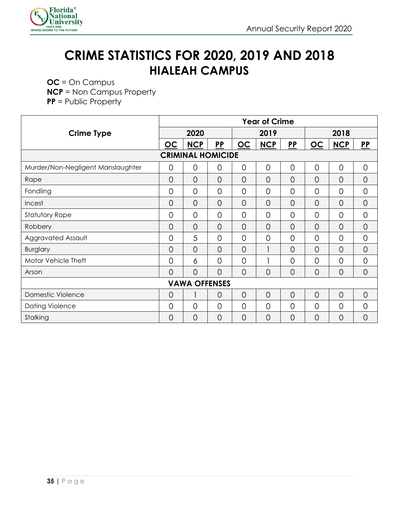

### <span id="page-34-0"></span>**CRIME STATISTICS FOR 2020, 2019 AND 2018 HIALEAH CAMPUS**

<span id="page-34-1"></span>**OC** = On Campus

**NCP** = Non Campus Property

**PP** = Public Property

|                                   | <b>Year of Crime</b> |                |                 |                |                |                |                           |                |                 |  |  |
|-----------------------------------|----------------------|----------------|-----------------|----------------|----------------|----------------|---------------------------|----------------|-----------------|--|--|
| <b>Crime Type</b>                 |                      | 2020           |                 |                | 2019           |                | 2018                      |                |                 |  |  |
|                                   | <u>OC</u>            | <b>NCP</b>     | $\overline{PP}$ | <u>OC</u>      | <b>NCP</b>     | P              | $\underline{\mathsf{OC}}$ | <b>NCP</b>     | $\overline{PP}$ |  |  |
| <b>CRIMINAL HOMICIDE</b>          |                      |                |                 |                |                |                |                           |                |                 |  |  |
| Murder/Non-Negligent Manslaughter | 0                    | $\overline{0}$ | 0               | $\overline{0}$ | $\overline{0}$ | $\overline{0}$ | 0                         | $\overline{O}$ | 0               |  |  |
| Rape                              | $\overline{0}$       | $\overline{0}$ | 0               | $\Omega$       | $\overline{0}$ | $\overline{0}$ | $\overline{0}$            | 0              | 0               |  |  |
| Fondling                          | 0                    | $\overline{0}$ | 0               | $\Omega$       | $\overline{0}$ | $\Omega$       | 0                         | 0              | 0               |  |  |
| Incest                            | 0                    | $\overline{0}$ | $\overline{O}$  | $\Omega$       | $\overline{0}$ | $\overline{0}$ | $\overline{0}$            | $\overline{0}$ | 0               |  |  |
| <b>Statutory Rape</b>             | 0                    | $\overline{0}$ | 0               | $\overline{0}$ | $\circ$        | $\Omega$       | 0                         | 0              | 0               |  |  |
| Robbery                           | $\overline{0}$       | $\overline{0}$ | 0               | $\overline{O}$ | $\overline{0}$ | $\overline{0}$ | $\overline{0}$            | $\overline{0}$ | 0               |  |  |
| Aggravated Assault                | $\overline{O}$       | 5              | $\overline{O}$  | $\Omega$       | $\overline{0}$ | $\overline{O}$ | $\overline{O}$            | $\overline{O}$ | 0               |  |  |
| <b>Burglary</b>                   | $\overline{0}$       | $\overline{O}$ | $\overline{O}$  | $\Omega$       |                | $\overline{0}$ | $\overline{O}$            | $\overline{O}$ | 0               |  |  |
| Motor Vehicle Theft               | 0                    | 6              | $\overline{O}$  | $\Omega$       |                | $\Omega$       | $\overline{O}$            | $\Omega$       | 0               |  |  |
| Arson                             | $\Omega$             | $\Omega$       | $\Omega$        | $\Omega$       | $\Omega$       | $\Omega$       | $\overline{O}$            | 0              | 0               |  |  |
| <b>VAWA OFFENSES</b>              |                      |                |                 |                |                |                |                           |                |                 |  |  |
| Domestic Violence                 | 0                    |                | 0               | $\Omega$       | $\overline{0}$ | $\overline{0}$ | 0                         | $\overline{0}$ | 0               |  |  |
| Dating Violence                   | 0                    | $\Omega$       | 0               | $\Omega$       | $\Omega$       | $\Omega$       | 0                         | $\Omega$       | 0               |  |  |
| Stalking                          | 0                    | $\overline{0}$ | 0               | $\Omega$       | $\Omega$       | $\Omega$       | 0                         | 0              | 0               |  |  |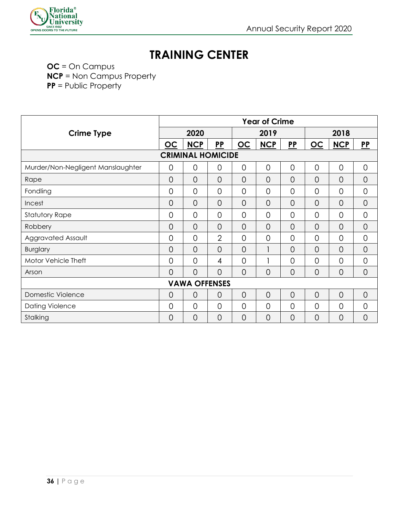

### **TRAINING CENTER**

<span id="page-35-0"></span>**OC** = On Campus **NCP** = Non Campus Property **PP** = Public Property

|                                   | <b>Year of Crime</b> |                          |                |                |                |                |                  |            |                |  |  |
|-----------------------------------|----------------------|--------------------------|----------------|----------------|----------------|----------------|------------------|------------|----------------|--|--|
| <b>Crime Type</b>                 |                      | 2020                     |                |                | 2019           |                | 2018             |            |                |  |  |
|                                   | OC                   | <b>NCP</b>               | P              | <u>OC</u>      | <b>NCP</b>     | P              | $\underline{OC}$ | <b>NCP</b> | P              |  |  |
|                                   |                      | <b>CRIMINAL HOMICIDE</b> |                |                |                |                |                  |            |                |  |  |
| Murder/Non-Negligent Manslaughter | 0                    | 0                        | $\overline{0}$ | $\overline{O}$ | $\overline{0}$ | $\overline{0}$ | $\overline{0}$   | 0          | $\overline{0}$ |  |  |
| Rape                              | $\overline{0}$       | $\Omega$                 | 0              | $\Omega$       | $\Omega$       | $\Omega$       | 0                | 0          | $\Omega$       |  |  |
| Fondling                          | 0                    | $\overline{0}$           | 0              | 0              | $\overline{0}$ | $\overline{0}$ | $\overline{0}$   | 0          | 0              |  |  |
| Incest                            | $\overline{0}$       | $\overline{0}$           | $\overline{0}$ | $\overline{0}$ | $\overline{0}$ | $\Omega$       | $\overline{0}$   | 0          | $\overline{0}$ |  |  |
| <b>Statutory Rape</b>             | 0                    | $\overline{0}$           | $\overline{0}$ | 0              | $\Omega$       | $\Omega$       | $\overline{0}$   | 0          | $\overline{0}$ |  |  |
| Robbery                           | $\overline{0}$       | $\overline{0}$           | 0              | $\overline{O}$ | $\Omega$       | $\Omega$       | $\overline{0}$   | 0          | $\overline{0}$ |  |  |
| Aggravated Assault                | $\overline{0}$       | $\overline{0}$           | $\overline{2}$ | $\overline{0}$ | $\Omega$       | $\Omega$       | $\overline{0}$   | 0          | 0              |  |  |
| <b>Burglary</b>                   | $\overline{0}$       | $\overline{0}$           | $\Omega$       | $\overline{O}$ |                | $\Omega$       | $\overline{0}$   | $\Omega$   | $\overline{0}$ |  |  |
| Motor Vehicle Theft               | $\overline{0}$       | $\overline{0}$           | 4              | $\overline{0}$ |                | $\Omega$       | $\overline{0}$   | 0          | $\overline{0}$ |  |  |
| Arson                             | $\overline{0}$       | $\overline{0}$           | 0              | $\overline{O}$ | $\overline{0}$ | $\Omega$       | $\overline{0}$   | 0          | $\overline{0}$ |  |  |
| <b>VAWA OFFENSES</b>              |                      |                          |                |                |                |                |                  |            |                |  |  |
| <b>Domestic Violence</b>          | $\overline{0}$       | $\overline{0}$           | 0              | $\overline{0}$ | $\overline{0}$ | $\overline{0}$ | $\overline{0}$   | 0          | $\overline{0}$ |  |  |
| Dating Violence                   | $\Omega$             | $\Omega$                 | $\Omega$       | $\Omega$       | $\Omega$       | $\Omega$       | $\Omega$         | 0          | 0              |  |  |
| Stalking                          | 0                    | $\overline{0}$           | 0              | $\Omega$       | $\overline{0}$ | $\Omega$       | $\overline{0}$   | 0          | 0              |  |  |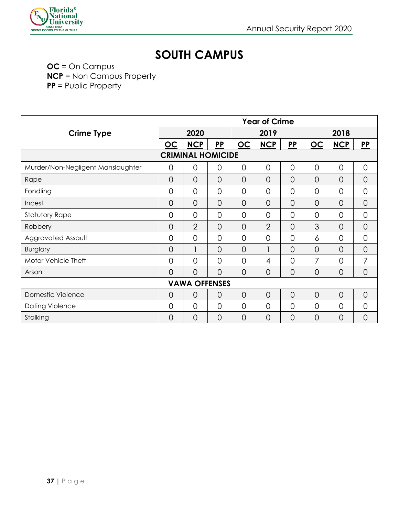

#### **SOUTH CAMPUS**

<span id="page-36-0"></span>**OC** = On Campus **NCP** = Non Campus Property **PP** = Public Property

|                                   | <b>Year of Crime</b> |                          |                |                |                |                |                  |                |                |  |  |
|-----------------------------------|----------------------|--------------------------|----------------|----------------|----------------|----------------|------------------|----------------|----------------|--|--|
| <b>Crime Type</b>                 |                      | 2020                     |                |                | 2019           |                | 2018             |                |                |  |  |
|                                   | OC                   | <b>NCP</b>               | P              | <u>OC</u>      | <b>NCP</b>     | P              | $\underline{OC}$ | <b>NCP</b>     | P              |  |  |
|                                   |                      | <b>CRIMINAL HOMICIDE</b> |                |                |                |                |                  |                |                |  |  |
| Murder/Non-Negligent Manslaughter | $\overline{0}$       | $\overline{0}$           | $\overline{0}$ | $\overline{O}$ | $\overline{0}$ | $\Omega$       | $\overline{0}$   | $\overline{0}$ | $\overline{0}$ |  |  |
| Rape                              | $\overline{0}$       | $\overline{0}$           | 0              | $\overline{O}$ | $\overline{0}$ | $\Omega$       | $\overline{0}$   | 0              | $\overline{0}$ |  |  |
| Fondling                          | 0                    | $\overline{0}$           | $\overline{0}$ | 0              | $\overline{0}$ | $\Omega$       | $\overline{0}$   | 0              | 0              |  |  |
| Incest                            | $\overline{0}$       | $\overline{0}$           | $\overline{0}$ | $\overline{0}$ | $\overline{0}$ | $\overline{0}$ | $\overline{0}$   | 0              | $\overline{0}$ |  |  |
| <b>Statutory Rape</b>             | 0                    | 0                        | $\overline{0}$ | $\overline{0}$ | $\overline{0}$ | $\Omega$       | $\overline{0}$   | 0              | $\overline{0}$ |  |  |
| Robbery                           | $\overline{0}$       | $\overline{2}$           | 0              | $\overline{O}$ | $\overline{2}$ | $\Omega$       | 3                | 0              | $\overline{0}$ |  |  |
| Aggravated Assault                | $\overline{0}$       | $\overline{0}$           | $\overline{0}$ | $\overline{0}$ | $\Omega$       | $\Omega$       | 6                | 0              | $\overline{0}$ |  |  |
| <b>Burglary</b>                   | $\overline{O}$       | 1                        | 0              | $\overline{O}$ |                | $\Omega$       | $\overline{0}$   | $\overline{O}$ | $\overline{O}$ |  |  |
| Motor Vehicle Theft               | $\overline{0}$       | $\overline{0}$           | $\overline{0}$ | $\overline{0}$ | 4              | $\overline{O}$ | 7                | 0              | 7              |  |  |
| Arson                             | $\overline{0}$       | $\overline{O}$           | 0              | $\overline{O}$ | $\overline{O}$ | $\Omega$       | $\overline{0}$   | 0              | $\overline{0}$ |  |  |
| <b>VAWA OFFENSES</b>              |                      |                          |                |                |                |                |                  |                |                |  |  |
| <b>Domestic Violence</b>          | $\overline{0}$       | $\overline{0}$           | $\overline{0}$ | $\overline{0}$ | $\Omega$       | $\Omega$       | $\overline{0}$   | 0              | $\overline{0}$ |  |  |
| Dating Violence                   | $\overline{0}$       | $\overline{0}$           | $\overline{0}$ | 0              | $\Omega$       | $\Omega$       | $\overline{0}$   | 0              | $\overline{0}$ |  |  |
| Stalking                          | 0                    | $\overline{0}$           | 0              | $\overline{0}$ | $\overline{0}$ | $\Omega$       | $\overline{0}$   | 0              | 0              |  |  |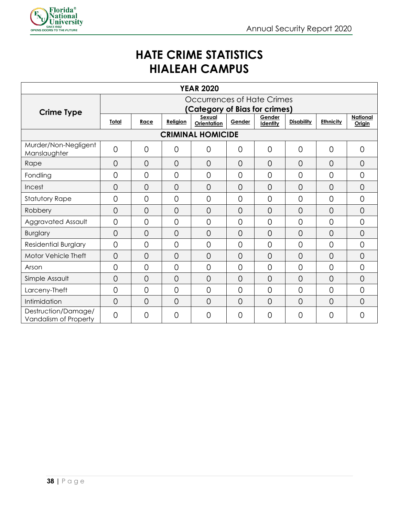

### **HATE CRIME STATISTICS HIALEAH CAMPUS**

<span id="page-37-1"></span><span id="page-37-0"></span>

| <b>YEAR 2020</b>                             |                               |                |                |                       |                |                    |                   |                  |                           |  |  |  |
|----------------------------------------------|-------------------------------|----------------|----------------|-----------------------|----------------|--------------------|-------------------|------------------|---------------------------|--|--|--|
|                                              | Occurrences of Hate Crimes    |                |                |                       |                |                    |                   |                  |                           |  |  |  |
| <b>Crime Type</b>                            | (Category of Bias for crimes) |                |                |                       |                |                    |                   |                  |                           |  |  |  |
|                                              | Total                         | Race           | Religion       | Sexual<br>Orientation | Gender         | Gender<br>Identity | <b>Disability</b> | <b>Ethnicity</b> | <b>National</b><br>Origin |  |  |  |
| <b>CRIMINAL HOMICIDE</b>                     |                               |                |                |                       |                |                    |                   |                  |                           |  |  |  |
| Murder/Non-Negligent<br>Manslaughter         | $\overline{O}$                | $\overline{O}$ | $\overline{0}$ | $\overline{0}$        | $\overline{0}$ | $\overline{O}$     | $\overline{O}$    | $\overline{0}$   | $\overline{0}$            |  |  |  |
| Rape                                         | $\overline{0}$                | $\overline{0}$ | $\overline{O}$ | $\Omega$              | $\overline{0}$ | 0                  | $\overline{0}$    | $\Omega$         | $\overline{0}$            |  |  |  |
| Fondling                                     | $\overline{0}$                | $\overline{O}$ | $\overline{0}$ | $\overline{0}$        | $\overline{0}$ | 0                  | 0                 | $\overline{0}$   | $\overline{0}$            |  |  |  |
| Incest                                       | $\overline{0}$                | $\overline{O}$ | $\overline{O}$ | $\Omega$              | $\overline{0}$ | 0                  | $\overline{O}$    | $\overline{0}$   | $\overline{O}$            |  |  |  |
| Statutory Rape                               | $\overline{0}$                | $\overline{O}$ | $\overline{0}$ | $\overline{0}$        | $\overline{0}$ | $\overline{O}$     | $\overline{O}$    | $\overline{0}$   | $\overline{0}$            |  |  |  |
| Robbery                                      | $\overline{0}$                | $\overline{0}$ | $\overline{O}$ | $\overline{0}$        | 0              | 0                  | $\overline{0}$    | $\overline{0}$   | $\overline{O}$            |  |  |  |
| Aggravated Assault                           | $\Omega$                      | $\overline{O}$ | 0              | $\Omega$              | $\overline{0}$ | 0                  | 0                 | $\Omega$         | $\overline{0}$            |  |  |  |
| <b>Burglary</b>                              | $\Omega$                      | $\Omega$       | $\overline{O}$ | $\Omega$              | $\overline{0}$ | 0                  | 0                 | $\Omega$         | $\Omega$                  |  |  |  |
| <b>Residential Burglary</b>                  | $\overline{0}$                | $\overline{O}$ | 0              | $\Omega$              | $\overline{0}$ | $\overline{O}$     | 0                 | $\overline{0}$   | $\overline{0}$            |  |  |  |
| Motor Vehicle Theft                          | $\overline{O}$                | $\overline{O}$ | $\overline{O}$ | $\overline{0}$        | 0              | 0                  | 0                 | 0                | $\overline{O}$            |  |  |  |
| Arson                                        | $\overline{O}$                | $\overline{O}$ | $\overline{O}$ | $\overline{0}$        | $\overline{0}$ | 0                  | 0                 | $\overline{0}$   | $\overline{0}$            |  |  |  |
| Simple Assault                               | $\overline{0}$                | $\overline{O}$ | $\overline{O}$ | $\Omega$              | 0              | 0                  | 0                 | 0                | 0                         |  |  |  |
| Larceny-Theft                                | $\overline{O}$                | $\overline{O}$ | $\overline{O}$ | $\Omega$              | $\overline{0}$ | 0                  | 0                 | $\Omega$         | $\Omega$                  |  |  |  |
| Intimidation                                 | $\overline{O}$                | $\overline{O}$ | $\overline{0}$ | $\overline{0}$        | 0              | 0                  | 0                 | $\overline{0}$   | 0                         |  |  |  |
| Destruction/Damage/<br>Vandalism of Property | $\overline{0}$                | $\overline{0}$ | $\overline{0}$ | $\overline{0}$        | 0              | 0                  | $\overline{0}$    | 0                | $\overline{0}$            |  |  |  |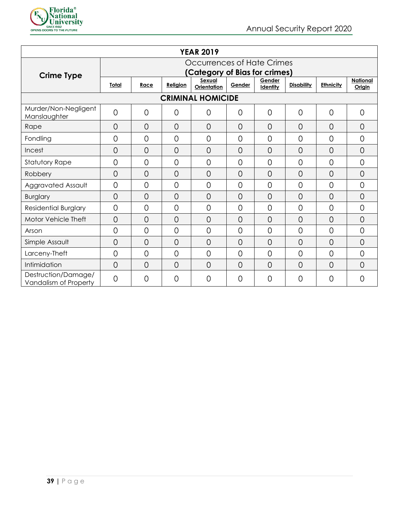

| <b>YEAR 2019</b>                             |                                                            |                |                |                    |                |                    |                   |                |                |  |  |  |  |
|----------------------------------------------|------------------------------------------------------------|----------------|----------------|--------------------|----------------|--------------------|-------------------|----------------|----------------|--|--|--|--|
|                                              | Occurrences of Hate Crimes                                 |                |                |                    |                |                    |                   |                |                |  |  |  |  |
| <b>Crime Type</b>                            | (Category of Bias for crimes)<br><b>National</b><br>Sexual |                |                |                    |                |                    |                   |                |                |  |  |  |  |
|                                              | <b>Total</b>                                               | <b>Race</b>    | Religion       | <b>Orientation</b> | Gender         | Gender<br>Identity | <b>Disability</b> | Ethnicity      | Origin         |  |  |  |  |
| <b>CRIMINAL HOMICIDE</b>                     |                                                            |                |                |                    |                |                    |                   |                |                |  |  |  |  |
| Murder/Non-Negligent<br>Manslaughter         | $\Omega$                                                   | $\overline{O}$ | $\overline{0}$ | $\Omega$           | 0              | $\overline{O}$     | $\overline{0}$    | $\overline{0}$ | $\overline{0}$ |  |  |  |  |
| Rape                                         | $\overline{0}$                                             | $\overline{O}$ | $\overline{O}$ | $\Omega$           | $\overline{O}$ | 0                  | $\overline{O}$    | $\overline{O}$ | $\overline{O}$ |  |  |  |  |
| Fondling                                     | $\Omega$                                                   | $\Omega$       | 0              | $\Omega$           | 0              | $\overline{O}$     | 0                 | $\overline{0}$ | $\Omega$       |  |  |  |  |
| Incest                                       | $\overline{0}$                                             | $\overline{O}$ | $\overline{O}$ | $\overline{O}$     | $\overline{O}$ | $\overline{O}$     | $\overline{O}$    | $\overline{O}$ | $\overline{O}$ |  |  |  |  |
| <b>Statutory Rape</b>                        | $\overline{0}$                                             | $\overline{O}$ | $\overline{O}$ | $\Omega$           | 0              | $\overline{O}$     | $\overline{0}$    | 0              | $\overline{0}$ |  |  |  |  |
| Robbery                                      | $\overline{0}$                                             | $\overline{O}$ | $\overline{O}$ | $\overline{O}$     | $\overline{O}$ | 0                  | $\overline{O}$    | $\overline{O}$ | $\overline{O}$ |  |  |  |  |
| Aggravated Assault                           | $\Omega$                                                   | $\overline{O}$ | $\overline{O}$ | $\Omega$           | 0              | $\overline{O}$     | $\overline{0}$    | $\overline{0}$ | $\overline{0}$ |  |  |  |  |
| <b>Burglary</b>                              | $\Omega$                                                   | $\overline{O}$ | $\overline{O}$ | $\Omega$           | $\overline{O}$ | 0                  | 0                 | $\Omega$       | $\overline{O}$ |  |  |  |  |
| <b>Residential Burglary</b>                  | $\overline{0}$                                             | $\overline{O}$ | $\overline{O}$ | $\Omega$           | $\overline{O}$ | $\overline{O}$     | $\overline{0}$    | 0              | $\overline{0}$ |  |  |  |  |
| Motor Vehicle Theft                          | $\overline{0}$                                             | $\overline{O}$ | $\overline{O}$ | $\overline{O}$     | $\overline{O}$ | 0                  | $\overline{O}$    | 0              | $\overline{O}$ |  |  |  |  |
| Arson                                        | $\Omega$                                                   | $\overline{O}$ | 0              | $\Omega$           | 0              | $\overline{O}$     | 0                 | 0              | $\overline{0}$ |  |  |  |  |
| Simple Assault                               | $\overline{0}$                                             | $\overline{O}$ | $\overline{O}$ | $\Omega$           | $\overline{O}$ | 0                  | $\overline{O}$    | 0              | $\overline{O}$ |  |  |  |  |
| Larceny-Theft                                | $\overline{0}$                                             | $\overline{O}$ | $\overline{O}$ | $\Omega$           | 0              | $\overline{O}$     | $\overline{0}$    | 0              | $\overline{0}$ |  |  |  |  |
| Intimidation                                 | $\Omega$                                                   | $\overline{O}$ | $\overline{O}$ | $\Omega$           | $\overline{O}$ | 0                  | $\overline{O}$    | $\Omega$       | $\Omega$       |  |  |  |  |
| Destruction/Damage/<br>Vandalism of Property | $\Omega$                                                   | 0              | $\overline{0}$ | $\Omega$           | 0              | $\Omega$           | $\overline{0}$    | 0              | $\Omega$       |  |  |  |  |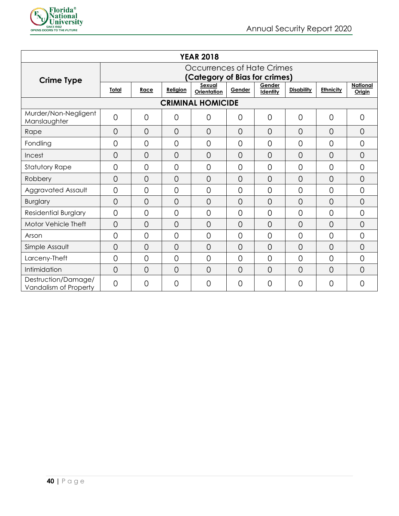

| <b>YEAR 2018</b>                             |                                                                      |                |                |                    |                |                 |                   |                  |                |  |  |  |  |  |
|----------------------------------------------|----------------------------------------------------------------------|----------------|----------------|--------------------|----------------|-----------------|-------------------|------------------|----------------|--|--|--|--|--|
|                                              | Occurrences of Hate Crimes                                           |                |                |                    |                |                 |                   |                  |                |  |  |  |  |  |
| <b>Crime Type</b>                            | (Category of Bias for crimes)<br><b>National</b><br>Sexual<br>Gender |                |                |                    |                |                 |                   |                  |                |  |  |  |  |  |
|                                              | Total                                                                | Race           | Religion       | <b>Orientation</b> | Gender         | <b>Identity</b> | <b>Disability</b> | <b>Ethnicity</b> | Origin         |  |  |  |  |  |
|                                              | <b>CRIMINAL HOMICIDE</b>                                             |                |                |                    |                |                 |                   |                  |                |  |  |  |  |  |
| Murder/Non-Negligent<br>Manslaughter         | $\Omega$                                                             | $\overline{0}$ | $\Omega$       | $\Omega$           | 0              | 0               | $\overline{0}$    | 0                | $\overline{0}$ |  |  |  |  |  |
| Rape                                         | $\overline{O}$                                                       | $\overline{O}$ | $\overline{O}$ | $\overline{0}$     | $\overline{O}$ | 0               | $\overline{O}$    | 0                | $\overline{0}$ |  |  |  |  |  |
| Fondling                                     | $\overline{0}$                                                       | $\overline{0}$ | $\overline{O}$ | $\Omega$           | 0              | 0               | 0                 | 0                | $\overline{0}$ |  |  |  |  |  |
| Incest                                       | $\overline{O}$                                                       | $\overline{O}$ | $\overline{O}$ | $\Omega$           | $\overline{O}$ | 0               | $\overline{O}$    | 0                | $\overline{0}$ |  |  |  |  |  |
| Statutory Rape                               | $\overline{0}$                                                       | $\overline{O}$ | $\overline{O}$ | $\overline{0}$     | 0              | $\overline{O}$  | $\overline{O}$    | 0                | $\overline{0}$ |  |  |  |  |  |
| Robbery                                      | $\overline{O}$                                                       | $\overline{O}$ | $\overline{O}$ | $\overline{0}$     | $\overline{O}$ | 0               | $\overline{O}$    | 0                | $\overline{0}$ |  |  |  |  |  |
| Aggravated Assault                           | $\overline{0}$                                                       | $\overline{0}$ | $\overline{O}$ | $\overline{0}$     | 0              | 0               | $\overline{O}$    | 0                | $\overline{0}$ |  |  |  |  |  |
| <b>Burglary</b>                              | $\overline{O}$                                                       | $\overline{O}$ | $\overline{O}$ | $\Omega$           | $\overline{O}$ | 0               | 0                 | 0                | $\overline{0}$ |  |  |  |  |  |
| Residential Burglary                         | $\overline{0}$                                                       | $\overline{0}$ | $\overline{O}$ | $\overline{0}$     | 0              | $\overline{O}$  | 0                 | 0                | $\overline{0}$ |  |  |  |  |  |
| Motor Vehicle Theft                          | $\overline{O}$                                                       | $\overline{O}$ | $\overline{O}$ | $\overline{0}$     | 0              | 0               | $\overline{O}$    | 0                | $\overline{0}$ |  |  |  |  |  |
| Arson                                        | $\overline{0}$                                                       | $\overline{0}$ | $\overline{O}$ | $\overline{0}$     | 0              | 0               | $\overline{O}$    | 0                | 0              |  |  |  |  |  |
| Simple Assault                               | $\overline{0}$                                                       | $\overline{0}$ | $\overline{0}$ | $\overline{0}$     | 0              | 0               | 0                 | 0                | $\overline{0}$ |  |  |  |  |  |
| Larceny-Theft                                | $\overline{0}$                                                       | $\overline{O}$ | $\overline{O}$ | $\Omega$           | $\overline{0}$ | 0               | 0                 | 0                | $\overline{0}$ |  |  |  |  |  |
| Intimidation                                 | $\overline{0}$                                                       | $\overline{O}$ | $\overline{O}$ | $\overline{0}$     | $\overline{O}$ | 0               | $\overline{0}$    | $\overline{O}$   | $\overline{0}$ |  |  |  |  |  |
| Destruction/Damage/<br>Vandalism of Property | $\Omega$                                                             | $\overline{0}$ | 0              | $\Omega$           | 0              | 0               | $\overline{0}$    | 0                | $\overline{0}$ |  |  |  |  |  |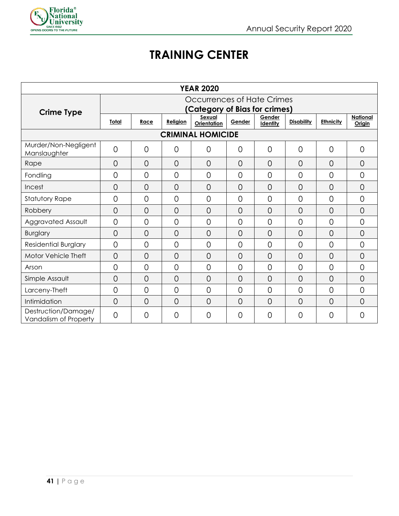

#### **TRAINING CENTER**

<span id="page-40-0"></span>

| <b>YEAR 2020</b>                             |                                                  |                |                |                       |                |                    |                   |                |                |  |  |  |  |
|----------------------------------------------|--------------------------------------------------|----------------|----------------|-----------------------|----------------|--------------------|-------------------|----------------|----------------|--|--|--|--|
|                                              | Occurrences of Hate Crimes                       |                |                |                       |                |                    |                   |                |                |  |  |  |  |
| <b>Crime Type</b>                            | (Category of Bias for crimes)<br><b>National</b> |                |                |                       |                |                    |                   |                |                |  |  |  |  |
|                                              | Total                                            | <b>Race</b>    | Religion       | Sexual<br>Orientation | Gender         | Gender<br>Identity | <b>Disability</b> | Ethnicity      | Origin         |  |  |  |  |
| <b>CRIMINAL HOMICIDE</b>                     |                                                  |                |                |                       |                |                    |                   |                |                |  |  |  |  |
| Murder/Non-Negligent<br>Manslaughter         | $\overline{0}$                                   | $\overline{O}$ | $\overline{0}$ | $\overline{0}$        | 0              | 0                  | $\overline{O}$    | $\overline{O}$ | $\overline{O}$ |  |  |  |  |
| Rape                                         | $\overline{0}$                                   | $\overline{O}$ | $\overline{O}$ | $\Omega$              | $\overline{O}$ | 0                  | $\overline{O}$    | $\overline{O}$ | $\Omega$       |  |  |  |  |
| Fondling                                     | $\overline{0}$                                   | $\overline{O}$ | $\overline{O}$ | $\overline{0}$        | 0              | 0                  | $\overline{O}$    | $\overline{O}$ | $\overline{O}$ |  |  |  |  |
| Incest                                       | $\Omega$                                         | $\Omega$       | $\overline{O}$ | $\Omega$              | $\overline{O}$ | 0                  | $\Omega$          | $\Omega$       | $\Omega$       |  |  |  |  |
| <b>Statutory Rape</b>                        | $\overline{0}$                                   | $\overline{O}$ | $\overline{O}$ | $\overline{0}$        | 0              | 0                  | $\overline{O}$    | $\overline{0}$ | $\overline{O}$ |  |  |  |  |
| Robbery                                      | $\overline{0}$                                   | $\overline{O}$ | $\overline{O}$ | $\Omega$              | $\overline{O}$ | 0                  | $\overline{0}$    | $\overline{O}$ | $\overline{O}$ |  |  |  |  |
| Aggravated Assault                           | $\overline{0}$                                   | $\overline{O}$ | $\overline{0}$ | $\overline{0}$        | 0              | 0                  | $\overline{0}$    | $\overline{O}$ | 0              |  |  |  |  |
| <b>Burglary</b>                              | $\Omega$                                         | $\overline{O}$ | $\overline{O}$ | $\Omega$              | $\overline{O}$ | 0                  | $\overline{O}$    | $\overline{O}$ | $\overline{O}$ |  |  |  |  |
| <b>Residential Burglary</b>                  | $\overline{0}$                                   | $\overline{O}$ | $\overline{O}$ | $\overline{0}$        | $\overline{0}$ | 0                  | $\overline{O}$    | $\overline{0}$ | $\overline{O}$ |  |  |  |  |
| Motor Vehicle Theft                          | $\overline{0}$                                   | $\overline{O}$ | $\overline{O}$ | $\Omega$              | $\overline{O}$ | 0                  | $\overline{O}$    | $\overline{O}$ | $\overline{O}$ |  |  |  |  |
| Arson                                        | $\overline{0}$                                   | $\Omega$       | $\overline{O}$ | $\overline{0}$        | $\overline{O}$ | 0                  | $\Omega$          | $\Omega$       | $\overline{O}$ |  |  |  |  |
| Simple Assault                               | $\overline{0}$                                   | $\overline{O}$ | $\overline{O}$ | $\overline{0}$        | $\overline{O}$ | 0                  | $\overline{O}$    | $\overline{0}$ | $\overline{O}$ |  |  |  |  |
| Larceny-Theft                                | $\overline{0}$                                   | $\overline{O}$ | $\overline{O}$ | $\overline{0}$        | $\overline{O}$ | 0                  | $\overline{O}$    | $\overline{0}$ | $\overline{O}$ |  |  |  |  |
| Intimidation                                 | $\overline{0}$                                   | $\overline{O}$ | $\overline{O}$ | $\overline{0}$        | $\overline{O}$ | 0                  | $\overline{O}$    | $\overline{0}$ | $\overline{O}$ |  |  |  |  |
| Destruction/Damage/<br>Vandalism of Property | $\overline{0}$                                   | $\overline{0}$ | 0              | $\overline{0}$        | 0              | 0                  | $\overline{0}$    | 0              | 0              |  |  |  |  |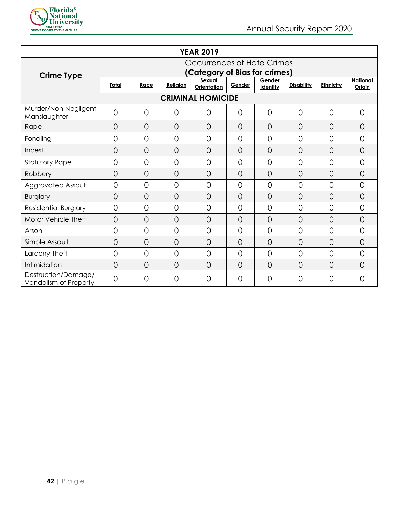

| <b>YEAR 2019</b>                             |                                                            |                |                |                    |                |                    |                   |                |                |  |  |  |  |
|----------------------------------------------|------------------------------------------------------------|----------------|----------------|--------------------|----------------|--------------------|-------------------|----------------|----------------|--|--|--|--|
|                                              | Occurrences of Hate Crimes                                 |                |                |                    |                |                    |                   |                |                |  |  |  |  |
| <b>Crime Type</b>                            | (Category of Bias for crimes)<br><b>National</b><br>Sexual |                |                |                    |                |                    |                   |                |                |  |  |  |  |
|                                              | <b>Total</b>                                               | <b>Race</b>    | Religion       | <b>Orientation</b> | Gender         | Gender<br>Identity | <b>Disability</b> | Ethnicity      | Origin         |  |  |  |  |
| <b>CRIMINAL HOMICIDE</b>                     |                                                            |                |                |                    |                |                    |                   |                |                |  |  |  |  |
| Murder/Non-Negligent<br>Manslaughter         | $\Omega$                                                   | $\overline{O}$ | $\overline{0}$ | $\Omega$           | 0              | $\overline{O}$     | $\overline{0}$    | $\overline{0}$ | $\overline{0}$ |  |  |  |  |
| Rape                                         | $\overline{0}$                                             | $\overline{O}$ | $\overline{O}$ | $\Omega$           | $\overline{O}$ | 0                  | $\overline{O}$    | $\overline{O}$ | $\overline{O}$ |  |  |  |  |
| Fondling                                     | $\Omega$                                                   | $\Omega$       | 0              | $\Omega$           | 0              | $\overline{O}$     | 0                 | $\overline{0}$ | $\Omega$       |  |  |  |  |
| Incest                                       | $\overline{0}$                                             | $\overline{O}$ | $\overline{O}$ | $\overline{O}$     | $\overline{O}$ | $\overline{O}$     | $\overline{O}$    | $\overline{O}$ | $\overline{O}$ |  |  |  |  |
| <b>Statutory Rape</b>                        | $\overline{0}$                                             | $\overline{O}$ | $\overline{O}$ | $\Omega$           | 0              | $\overline{O}$     | $\overline{0}$    | 0              | $\overline{0}$ |  |  |  |  |
| Robbery                                      | $\overline{0}$                                             | $\overline{O}$ | $\overline{O}$ | $\overline{O}$     | $\overline{O}$ | 0                  | $\overline{O}$    | $\overline{O}$ | $\overline{O}$ |  |  |  |  |
| Aggravated Assault                           | $\Omega$                                                   | $\overline{O}$ | $\overline{O}$ | $\Omega$           | 0              | $\overline{O}$     | $\overline{0}$    | $\overline{0}$ | $\overline{0}$ |  |  |  |  |
| <b>Burglary</b>                              | $\Omega$                                                   | $\overline{O}$ | $\overline{O}$ | $\Omega$           | $\overline{O}$ | 0                  | 0                 | $\Omega$       | $\overline{O}$ |  |  |  |  |
| <b>Residential Burglary</b>                  | $\overline{0}$                                             | $\overline{O}$ | $\overline{O}$ | $\Omega$           | $\overline{O}$ | $\overline{O}$     | $\overline{0}$    | 0              | $\overline{0}$ |  |  |  |  |
| Motor Vehicle Theft                          | $\overline{0}$                                             | $\overline{O}$ | $\overline{O}$ | $\overline{O}$     | $\overline{O}$ | 0                  | $\overline{O}$    | 0              | $\overline{O}$ |  |  |  |  |
| Arson                                        | $\Omega$                                                   | $\overline{O}$ | 0              | $\Omega$           | 0              | $\overline{O}$     | 0                 | 0              | $\overline{0}$ |  |  |  |  |
| Simple Assault                               | $\overline{0}$                                             | $\overline{O}$ | $\overline{O}$ | $\Omega$           | $\overline{O}$ | 0                  | $\overline{O}$    | 0              | $\overline{O}$ |  |  |  |  |
| Larceny-Theft                                | $\overline{0}$                                             | $\overline{O}$ | $\overline{O}$ | $\Omega$           | 0              | $\overline{O}$     | $\overline{0}$    | 0              | $\overline{0}$ |  |  |  |  |
| Intimidation                                 | $\Omega$                                                   | $\overline{O}$ | $\overline{O}$ | $\Omega$           | $\overline{O}$ | 0                  | $\overline{O}$    | $\Omega$       | $\Omega$       |  |  |  |  |
| Destruction/Damage/<br>Vandalism of Property | $\Omega$                                                   | 0              | $\overline{0}$ | $\Omega$           | 0              | $\Omega$           | $\overline{0}$    | 0              | $\Omega$       |  |  |  |  |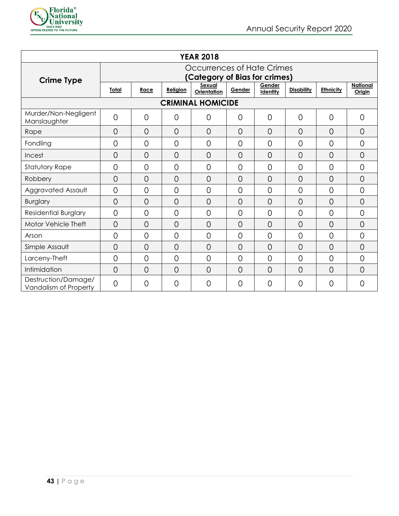

| <b>YEAR 2018</b>                             |                                                                  |                |                |                    |                |                    |                   |                |                |  |  |  |  |  |
|----------------------------------------------|------------------------------------------------------------------|----------------|----------------|--------------------|----------------|--------------------|-------------------|----------------|----------------|--|--|--|--|--|
|                                              | Occurrences of Hate Crimes                                       |                |                |                    |                |                    |                   |                |                |  |  |  |  |  |
| <b>Crime Type</b>                            | <b>Category of Bias for crimes)</b><br><b>National</b><br>Sexual |                |                |                    |                |                    |                   |                |                |  |  |  |  |  |
|                                              | Total                                                            | Race           | Religion       | <b>Orientation</b> | Gender         | Gender<br>Identity | <b>Disability</b> | Ethnicity      | Origin         |  |  |  |  |  |
|                                              | <b>CRIMINAL HOMICIDE</b>                                         |                |                |                    |                |                    |                   |                |                |  |  |  |  |  |
| Murder/Non-Negligent<br>Manslaughter         | $\Omega$                                                         | $\overline{0}$ | $\overline{0}$ | $\Omega$           | 0              | 0                  | $\overline{0}$    | 0              | $\overline{0}$ |  |  |  |  |  |
| Rape                                         | $\overline{O}$                                                   | $\overline{O}$ | $\overline{O}$ | $\Omega$           | $\overline{O}$ | 0                  | $\overline{O}$    | 0              | $\overline{0}$ |  |  |  |  |  |
| Fondling                                     | $\Omega$                                                         | $\Omega$       | $\Omega$       | $\Omega$           | 0              | 0                  | $\Omega$          | 0              | 0              |  |  |  |  |  |
| Incest                                       | $\overline{O}$                                                   | $\overline{O}$ | $\overline{O}$ | $\overline{0}$     | $\overline{O}$ | 0                  | $\overline{0}$    | $\overline{O}$ | $\overline{0}$ |  |  |  |  |  |
| <b>Statutory Rape</b>                        | $\overline{O}$                                                   | $\overline{0}$ | $\overline{O}$ | $\overline{0}$     | 0              | $\overline{O}$     | $\overline{O}$    | 0              | $\overline{0}$ |  |  |  |  |  |
| Robbery                                      | $\overline{O}$                                                   | $\overline{O}$ | $\overline{O}$ | $\overline{0}$     | $\overline{O}$ | 0                  | $\overline{O}$    | $\overline{O}$ | $\overline{0}$ |  |  |  |  |  |
| Aggravated Assault                           | $\overline{O}$                                                   | $\overline{0}$ | $\overline{O}$ | $\overline{0}$     | 0              | 0                  | 0                 | 0              | $\overline{0}$ |  |  |  |  |  |
| <b>Burglary</b>                              | $\overline{O}$                                                   | $\overline{O}$ | $\overline{O}$ | $\overline{0}$     | $\overline{O}$ | 0                  | $\overline{O}$    | $\overline{O}$ | $\overline{0}$ |  |  |  |  |  |
| <b>Residential Burglary</b>                  | $\overline{0}$                                                   | $\overline{O}$ | $\overline{O}$ | $\overline{0}$     | $\overline{O}$ | $\overline{O}$     | $\overline{O}$    | $\overline{O}$ | $\overline{0}$ |  |  |  |  |  |
| Motor Vehicle Theft                          | $\overline{0}$                                                   | $\overline{O}$ | $\overline{O}$ | $\overline{0}$     | $\overline{O}$ | 0                  | $\overline{O}$    | 0              | $\overline{0}$ |  |  |  |  |  |
| Arson                                        | $\overline{0}$                                                   | $\overline{0}$ | $\overline{O}$ | $\overline{0}$     | 0              | 0                  | $\overline{O}$    | 0              | 0              |  |  |  |  |  |
| Simple Assault                               | $\overline{O}$                                                   | $\overline{O}$ | $\overline{O}$ | $\overline{0}$     | $\overline{O}$ | 0                  | $\overline{O}$    | 0              | $\overline{0}$ |  |  |  |  |  |
| Larceny-Theft                                | $\overline{0}$                                                   | $\overline{0}$ | $\overline{O}$ | $\overline{0}$     | 0              | $\overline{O}$     | $\overline{O}$    | 0              | $\overline{0}$ |  |  |  |  |  |
| Intimidation                                 | $\Omega$                                                         | $\overline{O}$ | $\overline{O}$ | $\Omega$           | $\overline{O}$ | 0                  | $\overline{0}$    | 0              | $\Omega$       |  |  |  |  |  |
| Destruction/Damage/<br>Vandalism of Property | $\Omega$                                                         | $\overline{0}$ | 0              | $\Omega$           | 0              | 0                  | $\overline{0}$    | 0              | $\overline{0}$ |  |  |  |  |  |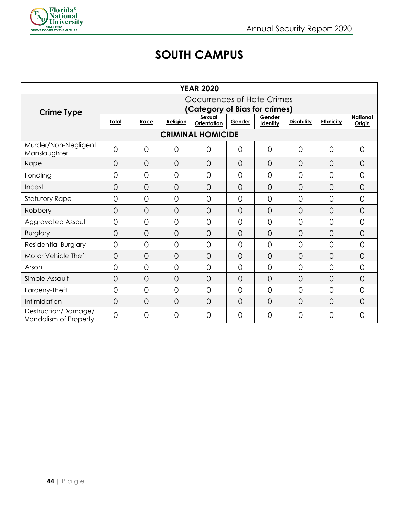

#### **SOUTH CAMPUS**

<span id="page-43-0"></span>

| <b>YEAR 2020</b>                             |                               |                |                |                              |                |                    |                   |                |                           |  |
|----------------------------------------------|-------------------------------|----------------|----------------|------------------------------|----------------|--------------------|-------------------|----------------|---------------------------|--|
|                                              | Occurrences of Hate Crimes    |                |                |                              |                |                    |                   |                |                           |  |
| <b>Crime Type</b>                            | (Category of Bias for crimes) |                |                |                              |                |                    |                   |                |                           |  |
|                                              | Total                         | Race           | Religion       | Sexual<br><b>Orientation</b> | Gender         | Gender<br>Identity | <b>Disability</b> | Ethnicity      | <b>National</b><br>Origin |  |
|                                              |                               |                |                | <b>CRIMINAL HOMICIDE</b>     |                |                    |                   |                |                           |  |
| Murder/Non-Negligent<br>Manslaughter         | $\overline{0}$                | $\overline{0}$ | $\overline{0}$ | $\Omega$                     | $\overline{0}$ | $\overline{O}$     | $\overline{0}$    | $\overline{0}$ | $\overline{0}$            |  |
| Rape                                         | $\overline{O}$                | $\overline{O}$ | $\overline{O}$ | $\Omega$                     | 0              | 0                  | 0                 | $\overline{0}$ | $\overline{O}$            |  |
| Fondling                                     | $\overline{0}$                | $\overline{O}$ | 0              | $\overline{0}$               | 0              | 0                  | $\overline{0}$    | $\overline{0}$ | $\overline{0}$            |  |
| Incest                                       | $\overline{O}$                | $\overline{O}$ | $\overline{O}$ | $\Omega$                     | $\overline{O}$ | 0                  | $\overline{O}$    | $\Omega$       | $\overline{O}$            |  |
| Statutory Rape                               | $\overline{0}$                | $\overline{O}$ | $\overline{0}$ | $\overline{0}$               | $\overline{0}$ | 0                  | 0                 | $\overline{O}$ | $\overline{O}$            |  |
| Robbery                                      | $\overline{O}$                | $\overline{O}$ | $\overline{O}$ | $\overline{O}$               | 0              | 0                  | 0                 | $\overline{0}$ | $\overline{O}$            |  |
| Aggravated Assault                           | $\overline{O}$                | $\overline{O}$ | $\overline{O}$ | $\Omega$                     | 0              | 0                  | 0                 | $\overline{O}$ | $\overline{O}$            |  |
| <b>Burglary</b>                              | $\overline{O}$                | $\overline{O}$ | $\overline{O}$ | $\overline{O}$               | 0              | 0                  | 0                 | $\overline{O}$ | $\overline{O}$            |  |
| <b>Residential Burglary</b>                  | $\overline{0}$                | $\overline{O}$ | $\overline{O}$ | $\Omega$                     | $\overline{0}$ | 0                  | 0                 | $\overline{O}$ | $\overline{O}$            |  |
| Motor Vehicle Theft                          | $\overline{O}$                | $\overline{O}$ | $\overline{0}$ | $\overline{O}$               | 0              | 0                  | 0                 | $\overline{O}$ | $\overline{O}$            |  |
| Arson                                        | $\Omega$                      | $\overline{O}$ | $\overline{O}$ | $\Omega$                     | $\overline{0}$ | 0                  | 0                 | $\Omega$       | $\Omega$                  |  |
| Simple Assault                               | $\overline{O}$                | $\overline{O}$ | $\overline{O}$ | $\overline{O}$               | 0              | 0                  | 0                 | 0              | $\overline{O}$            |  |
| Larceny-Theft                                | $\overline{0}$                | $\overline{O}$ | $\overline{O}$ | $\overline{0}$               | $\overline{0}$ | 0                  | 0                 | $\Omega$       | $\Omega$                  |  |
| Intimidation                                 | $\overline{O}$                | $\overline{O}$ | $\overline{O}$ | $\Omega$                     | 0              | 0                  | 0                 | $\overline{0}$ | 0                         |  |
| Destruction/Damage/<br>Vandalism of Property | $\overline{0}$                | $\overline{O}$ | $\overline{0}$ | $\overline{0}$               | 0              | 0                  | $\overline{0}$    | 0              | $\overline{0}$            |  |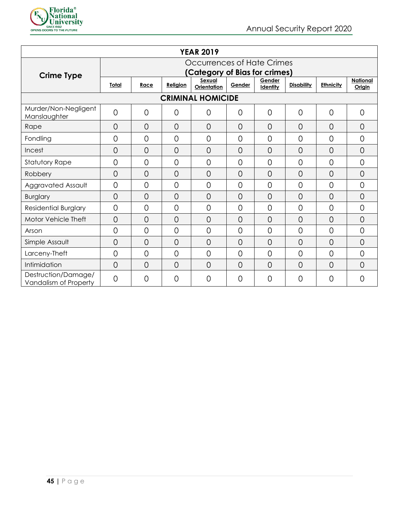

| <b>YEAR 2019</b>                             |                                                                      |                |                |                          |                |                |                   |                |                |  |  |
|----------------------------------------------|----------------------------------------------------------------------|----------------|----------------|--------------------------|----------------|----------------|-------------------|----------------|----------------|--|--|
|                                              | Occurrences of Hate Crimes                                           |                |                |                          |                |                |                   |                |                |  |  |
| <b>Crime Type</b>                            | (Category of Bias for crimes)<br><b>National</b><br>Sexual<br>Gender |                |                |                          |                |                |                   |                |                |  |  |
|                                              | <b>Total</b>                                                         | <b>Race</b>    | Religion       | <b>Orientation</b>       | Gender         | Identity       | <b>Disability</b> | Ethnicity      | Origin         |  |  |
|                                              |                                                                      |                |                | <b>CRIMINAL HOMICIDE</b> |                |                |                   |                |                |  |  |
| Murder/Non-Negligent<br>Manslaughter         | $\Omega$                                                             | $\overline{O}$ | $\overline{0}$ | $\Omega$                 | 0              | $\overline{O}$ | $\overline{0}$    | $\overline{0}$ | $\overline{0}$ |  |  |
| Rape                                         | $\overline{0}$                                                       | $\overline{O}$ | $\overline{O}$ | $\Omega$                 | $\overline{O}$ | 0              | $\overline{O}$    | $\overline{O}$ | $\overline{O}$ |  |  |
| Fondling                                     | $\Omega$                                                             | $\Omega$       | 0              | $\Omega$                 | 0              | $\overline{O}$ | 0                 | $\overline{0}$ | $\Omega$       |  |  |
| Incest                                       | $\overline{0}$                                                       | $\overline{O}$ | $\overline{O}$ | $\overline{O}$           | $\overline{O}$ | $\overline{O}$ | $\overline{O}$    | $\overline{O}$ | $\overline{O}$ |  |  |
| <b>Statutory Rape</b>                        | $\overline{0}$                                                       | $\overline{O}$ | $\overline{O}$ | $\Omega$                 | 0              | $\overline{O}$ | $\overline{0}$    | 0              | $\overline{0}$ |  |  |
| Robbery                                      | $\overline{0}$                                                       | $\overline{O}$ | $\overline{O}$ | $\overline{O}$           | $\overline{O}$ | 0              | $\overline{O}$    | $\overline{O}$ | $\overline{O}$ |  |  |
| Aggravated Assault                           | $\Omega$                                                             | $\overline{O}$ | $\overline{O}$ | $\Omega$                 | 0              | $\overline{O}$ | $\overline{0}$    | $\overline{0}$ | $\overline{0}$ |  |  |
| <b>Burglary</b>                              | $\Omega$                                                             | $\overline{O}$ | $\overline{O}$ | $\Omega$                 | $\overline{O}$ | 0              | 0                 | $\Omega$       | $\overline{O}$ |  |  |
| <b>Residential Burglary</b>                  | $\overline{0}$                                                       | $\overline{O}$ | $\overline{O}$ | $\Omega$                 | $\overline{O}$ | $\overline{O}$ | $\overline{0}$    | 0              | $\overline{0}$ |  |  |
| Motor Vehicle Theft                          | $\overline{0}$                                                       | $\overline{O}$ | $\overline{O}$ | $\overline{O}$           | $\overline{O}$ | 0              | $\overline{O}$    | 0              | $\overline{O}$ |  |  |
| Arson                                        | $\Omega$                                                             | $\overline{O}$ | 0              | $\Omega$                 | 0              | $\overline{O}$ | 0                 | 0              | $\overline{0}$ |  |  |
| Simple Assault                               | $\overline{0}$                                                       | $\overline{O}$ | $\overline{O}$ | $\Omega$                 | $\overline{O}$ | 0              | $\overline{O}$    | 0              | $\overline{O}$ |  |  |
| Larceny-Theft                                | $\overline{0}$                                                       | $\overline{O}$ | $\overline{O}$ | $\Omega$                 | 0              | $\overline{O}$ | $\overline{0}$    | 0              | $\overline{0}$ |  |  |
| Intimidation                                 | $\Omega$                                                             | $\overline{O}$ | $\overline{O}$ | $\Omega$                 | $\overline{O}$ | 0              | $\overline{O}$    | $\Omega$       | $\Omega$       |  |  |
| Destruction/Damage/<br>Vandalism of Property | $\Omega$                                                             | 0              | $\overline{0}$ | $\Omega$                 | 0              | $\Omega$       | $\overline{0}$    | 0              | $\Omega$       |  |  |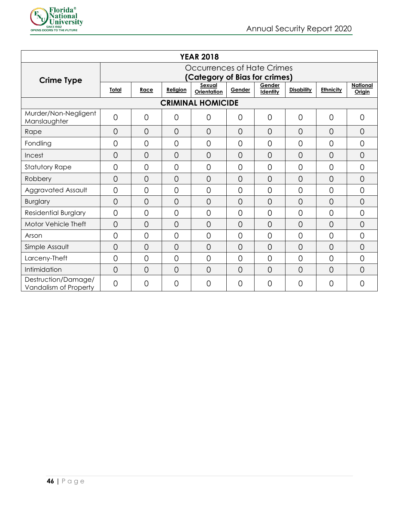

| <b>YEAR 2018</b>                             |                                                                      |                |                |                          |                |                 |                   |                  |                |  |
|----------------------------------------------|----------------------------------------------------------------------|----------------|----------------|--------------------------|----------------|-----------------|-------------------|------------------|----------------|--|
|                                              | Occurrences of Hate Crimes                                           |                |                |                          |                |                 |                   |                  |                |  |
| <b>Crime Type</b>                            | (Category of Bias for crimes)<br><b>National</b><br>Sexual<br>Gender |                |                |                          |                |                 |                   |                  |                |  |
|                                              | Total                                                                | Race           | Religion       | <b>Orientation</b>       | Gender         | <b>Identity</b> | <b>Disability</b> | <b>Ethnicity</b> | Origin         |  |
|                                              |                                                                      |                |                | <b>CRIMINAL HOMICIDE</b> |                |                 |                   |                  |                |  |
| Murder/Non-Negligent<br>Manslaughter         | $\Omega$                                                             | $\overline{0}$ | $\Omega$       | $\Omega$                 | 0              | 0               | $\overline{0}$    | 0                | $\overline{0}$ |  |
| Rape                                         | $\overline{O}$                                                       | $\overline{O}$ | $\overline{O}$ | $\overline{0}$           | $\overline{O}$ | 0               | $\overline{O}$    | 0                | $\overline{0}$ |  |
| Fondling                                     | $\overline{0}$                                                       | $\overline{0}$ | 0              | $\Omega$                 | 0              | 0               | 0                 | 0                | $\overline{0}$ |  |
| Incest                                       | $\overline{O}$                                                       | $\overline{O}$ | $\overline{O}$ | $\Omega$                 | $\overline{O}$ | 0               | $\overline{O}$    | 0                | $\overline{0}$ |  |
| Statutory Rape                               | $\overline{0}$                                                       | $\overline{O}$ | $\overline{O}$ | $\overline{0}$           | 0              | $\overline{O}$  | $\overline{O}$    | 0                | $\overline{0}$ |  |
| Robbery                                      | $\overline{O}$                                                       | $\overline{O}$ | $\overline{O}$ | $\overline{0}$           | $\overline{O}$ | 0               | $\overline{O}$    | 0                | $\overline{0}$ |  |
| Aggravated Assault                           | $\overline{0}$                                                       | $\overline{0}$ | $\overline{O}$ | $\overline{0}$           | 0              | 0               | $\overline{O}$    | 0                | $\overline{0}$ |  |
| <b>Burglary</b>                              | $\overline{O}$                                                       | $\overline{O}$ | $\overline{O}$ | $\Omega$                 | $\overline{O}$ | 0               | 0                 | 0                | $\overline{0}$ |  |
| Residential Burglary                         | $\overline{0}$                                                       | $\overline{0}$ | $\overline{O}$ | $\overline{0}$           | 0              | $\overline{O}$  | 0                 | 0                | $\overline{0}$ |  |
| Motor Vehicle Theft                          | $\overline{O}$                                                       | $\overline{O}$ | $\overline{O}$ | $\overline{0}$           | 0              | 0               | $\overline{O}$    | 0                | $\overline{0}$ |  |
| Arson                                        | $\overline{0}$                                                       | $\overline{0}$ | $\overline{O}$ | $\overline{0}$           | 0              | 0               | $\overline{O}$    | 0                | 0              |  |
| Simple Assault                               | $\overline{0}$                                                       | $\overline{0}$ | $\overline{0}$ | $\overline{0}$           | 0              | 0               | 0                 | 0                | $\overline{0}$ |  |
| Larceny-Theft                                | $\overline{0}$                                                       | $\overline{O}$ | $\overline{O}$ | $\Omega$                 | $\overline{0}$ | $\overline{O}$  | 0                 | 0                | $\overline{0}$ |  |
| Intimidation                                 | $\overline{0}$                                                       | $\overline{O}$ | $\overline{O}$ | $\overline{0}$           | $\overline{O}$ | 0               | $\overline{0}$    | $\overline{O}$   | $\overline{0}$ |  |
| Destruction/Damage/<br>Vandalism of Property | $\Omega$                                                             | $\overline{0}$ | 0              | $\Omega$                 | 0              | 0               | $\overline{0}$    | 0                | $\overline{0}$ |  |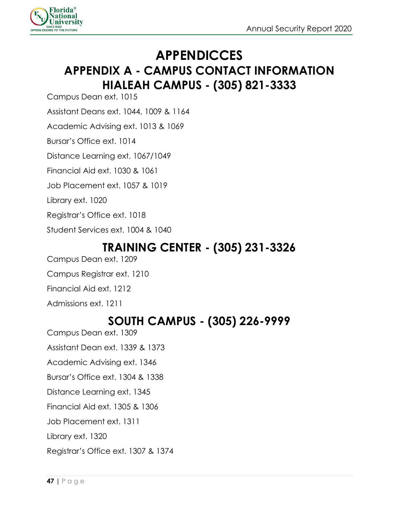

### <span id="page-46-1"></span><span id="page-46-0"></span>**APPENDICCES APPENDIX A - CAMPUS CONTACT INFORMATION HIALEAH CAMPUS - (305) 821-3333**

<span id="page-46-2"></span>Campus Dean ext. 1015

Assistant Deans ext. 1044, 1009 & 1164

Academic Advising ext. 1013 & 1069

Bursar's Office ext. 1014

Distance Learning ext. 1067/1049

Financial Aid ext. 1030 & 1061

Job Placement ext. 1057 & 1019

Library ext. 1020

Registrar's Office ext. 1018

<span id="page-46-3"></span>Student Services ext. 1004 & 1040

#### **TRAINING CENTER - (305) 231-3326**

Campus Dean ext. 1209

Campus Registrar ext. 1210

Financial Aid ext. 1212

<span id="page-46-4"></span>Admissions ext. 1211

#### **SOUTH CAMPUS - (305) 226-9999**

Campus Dean ext. 1309

Assistant Dean ext. 1339 & 1373

Academic Advising ext. 1346

Bursar's Office ext. 1304 & 1338

Distance Learning ext. 1345

Financial Aid ext. 1305 & 1306

Job Placement ext. 1311

Library ext. 1320

Registrar's Office ext. 1307 & 1374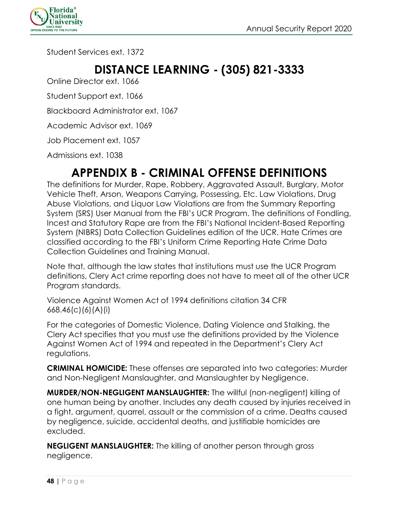

<span id="page-47-0"></span>Student Services ext. 1372

#### **DISTANCE LEARNING - (305) 821-3333**

Online Director ext. 1066

Student Support ext. 1066

Blackboard Administrator ext. 1067

Academic Advisor ext. 1069

Job Placement ext. 1057

<span id="page-47-1"></span>Admissions ext. 1038

#### **APPENDIX B - CRIMINAL OFFENSE DEFINITIONS**

The definitions for Murder, Rape, Robbery, Aggravated Assault, Burglary, Motor Vehicle Theft, Arson, Weapons Carrying, Possessing, Etc. Law Violations, Drug Abuse Violations, and Liquor Law Violations are from the Summary Reporting System (SRS) User Manual from the FBI's UCR Program. The definitions of Fondling, Incest and Statutory Rape are from the FBI's National Incident-Based Reporting System (NIBRS) Data Collection Guidelines edition of the UCR. Hate Crimes are classified according to the FBI's Uniform Crime Reporting Hate Crime Data Collection Guidelines and Training Manual.

Note that, although the law states that institutions must use the UCR Program definitions, Clery Act crime reporting does not have to meet all of the other UCR Program standards.

Violence Against Women Act of 1994 definitions citation 34 CFR 668.46(c)(6)(A)(i)

For the categories of Domestic Violence, Dating Violence and Stalking, the Clery Act specifies that you must use the definitions provided by the Violence Against Women Act of 1994 and repeated in the Department's Clery Act regulations.

**CRIMINAL HOMICIDE:** These offenses are separated into two categories: Murder and Non-Negligent Manslaughter, and Manslaughter by Negligence.

**MURDER/NON-NEGLIGENT MANSLAUGHTER:** The willful (non-negligent) killing of one human being by another. Includes any death caused by injuries received in a fight, argument, quarrel, assault or the commission of a crime. Deaths caused by negligence, suicide, accidental deaths, and justifiable homicides are excluded.

**NEGLIGENT MANSLAUGHTER:** The killing of another person through gross negligence.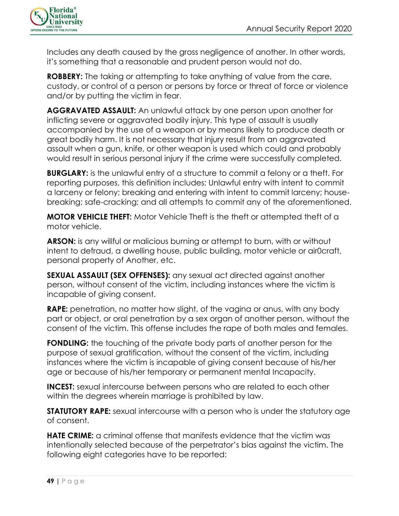

Includes any death caused by the gross negligence of another. In other words, it's something that a reasonable and prudent person would not do.

**ROBBERY:** The taking or attempting to take anything of value from the care, custody, or control of a person or persons by force or threat of force or violence and/or by putting the victim in fear.

**AGGRAVATED ASSAULT:** An unlawful attack by one person upon another for inflicting severe or aggravated bodily injury. This type of assault is usually accompanied by the use of a weapon or by means likely to produce death or great bodily harm. It is not necessary that injury result from an aggravated assault when a gun, knife, or other weapon is used which could and probably would result in serious personal injury if the crime were successfully completed.

**BURGLARY:** is the unlawful entry of a structure to commit a felony or a theft. For reporting purposes, this definition includes: Unlawful entry with intent to commit a larceny or felony; breaking and entering with intent to commit larceny; housebreaking; safe-cracking; and all attempts to commit any of the aforementioned.

**MOTOR VEHICLE THEFT:** Motor Vehicle Theft is the theft or attempted theft of a motor vehicle.

**ARSON:** is any willful or malicious burning or attempt to burn, with or without intent to defraud, a dwelling house, public building, motor vehicle or air0craft, personal property of Another, etc.

**SEXUAL ASSAULT (SEX OFFENSES):** any sexual act directed against another person, without consent of the victim, including instances where the victim is incapable of giving consent.

**RAPE:** penetration, no matter how slight, of the vagina or anus, with any body part or object, or oral penetration by a sex organ of another person, without the consent of the victim. This offense includes the rape of both males and females.

**FONDLING:** the touching of the private body parts of another person for the purpose of sexual gratification, without the consent of the victim, including instances where the victim is incapable of giving consent because of his/her age or because of his/her temporary or permanent mental Incapacity.

**INCEST:** sexual intercourse between persons who are related to each other within the degrees wherein marriage is prohibited by law.

**STATUTORY RAPE:** sexual intercourse with a person who is under the statutory age of consent.

**HATE CRIME:** a criminal offense that manifests evidence that the victim was intentionally selected because of the perpetrator's bias against the victim. The following eight categories have to be reported: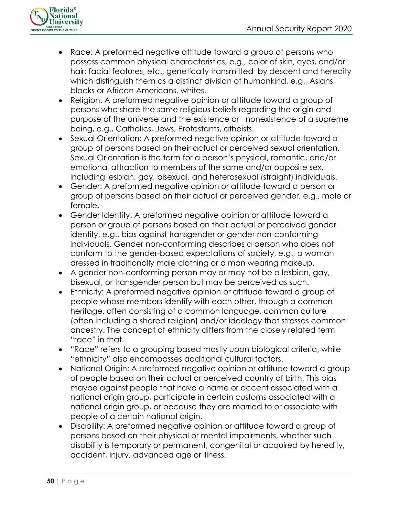

- Race: A preformed negative attitude toward a group of persons who possess common physical characteristics, e.g., color of skin, eyes, and/or hair; facial features, etc., genetically transmitted by descent and heredity which distinguish them as a distinct division of humankind, e.g., Asians, blacks or African Americans, whites.
- Religion: A preformed negative opinion or attitude toward a group of persons who share the same religious beliefs regarding the origin and purpose of the universe and the existence or nonexistence of a supreme being, e.g., Catholics, Jews, Protestants, atheists.
- Sexual Orientation: A preformed negative opinion or attitude toward a group of persons based on their actual or perceived sexual orientation. Sexual Orientation is the term for a person's physical, romantic, and/or emotional attraction to members of the same and/or opposite sex, including lesbian, gay, bisexual, and heterosexual (straight) individuals.
- Gender: A preformed negative opinion or attitude toward a person or group of persons based on their actual or perceived gender, e.g., male or female.
- Gender Identity: A preformed negative opinion or attitude toward a person or group of persons based on their actual or perceived gender identity, e.g., bias against transgender or gender non-conforming individuals. Gender non-conforming describes a person who does not conform to the gender-based expectations of society, e.g., a woman dressed in traditionally male clothing or a man wearing makeup.
- A gender non-conforming person may or may not be a lesbian, gay, bisexual, or transgender person but may be perceived as such.
- Ethnicity: A preformed negative opinion or attitude toward a group of people whose members identify with each other, through a common heritage, often consisting of a common language, common culture (often including a shared religion) and/or ideology that stresses common ancestry. The concept of ethnicity differs from the closely related term "race" in that
- "Race" refers to a grouping based mostly upon biological criteria, while "ethnicity" also encompasses additional cultural factors.
- National Origin: A preformed negative opinion or attitude toward a group of people based on their actual or perceived country of birth. This bias maybe against people that have a name or accent associated with a national origin group, participate in certain customs associated with a national origin group, or because they are married to or associate with people of a certain national origin.
- Disability: A preformed negative opinion or attitude toward a group of persons based on their physical or mental impairments, whether such disability is temporary or permanent, congenital or acquired by heredity, accident, injury, advanced age or illness.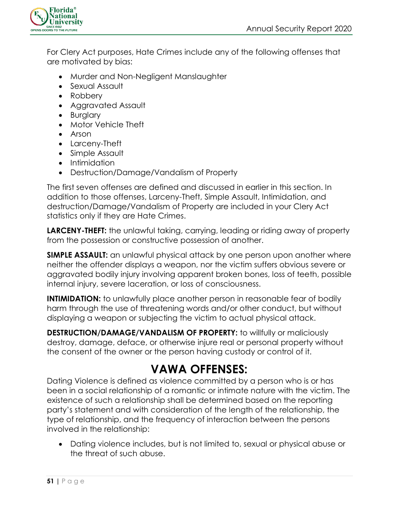

For Clery Act purposes, Hate Crimes include any of the following offenses that are motivated by bias:

- Murder and Non-Negligent Manslaughter
- Sexual Assault
- Robbery
- Aggravated Assault
- Burglary
- Motor Vehicle Theft
- Arson
- Larceny-Theft
- Simple Assault
- Intimidation
- Destruction/Damage/Vandalism of Property

The first seven offenses are defined and discussed in earlier in this section. In addition to those offenses, Larceny-Theft, Simple Assault, Intimidation, and destruction/Damage/Vandalism of Property are included in your Clery Act statistics only if they are Hate Crimes.

**LARCENY-THEFT:** the unlawful taking, carrying, leading or riding away of property from the possession or constructive possession of another.

**SIMPLE ASSAULT:** an unlawful physical attack by one person upon another where neither the offender displays a weapon, nor the victim suffers obvious severe or aggravated bodily injury involving apparent broken bones, loss of teeth, possible internal injury, severe laceration, or loss of consciousness.

**INTIMIDATION:** to unlawfully place another person in reasonable fear of bodily harm through the use of threatening words and/or other conduct, but without displaying a weapon or subjecting the victim to actual physical attack.

**DESTRUCTION/DAMAGE/VANDALISM OF PROPERTY:** to willfully or maliciously destroy, damage, deface, or otherwise injure real or personal property without the consent of the owner or the person having custody or control of it.

### **VAWA OFFENSES:**

<span id="page-50-0"></span>Dating Violence is defined as violence committed by a person who is or has been in a social relationship of a romantic or intimate nature with the victim. The existence of such a relationship shall be determined based on the reporting party's statement and with consideration of the length of the relationship, the type of relationship, and the frequency of interaction between the persons involved in the relationship:

 Dating violence includes, but is not limited to, sexual or physical abuse or the threat of such abuse.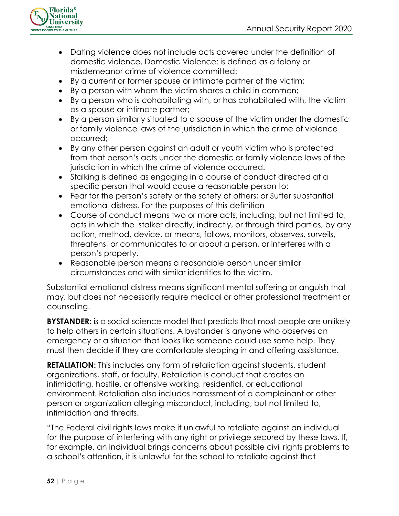

- Dating violence does not include acts covered under the definition of domestic violence. Domestic Violence: is defined as a felony or misdemeanor crime of violence committed:
- By a current or former spouse or intimate partner of the victim;
- By a person with whom the victim shares a child in common;
- By a person who is cohabitating with, or has cohabitated with, the victim as a spouse or intimate partner;
- By a person similarly situated to a spouse of the victim under the domestic or family violence laws of the jurisdiction in which the crime of violence occurred;
- By any other person against an adult or youth victim who is protected from that person's acts under the domestic or family violence laws of the jurisdiction in which the crime of violence occurred.
- Stalking is defined as engaging in a course of conduct directed at a specific person that would cause a reasonable person to:
- Fear for the person's safety or the safety of others; or Suffer substantial emotional distress. For the purposes of this definition
- Course of conduct means two or more acts, including, but not limited to, acts in which the stalker directly, indirectly, or through third parties, by any action, method, device, or means, follows, monitors, observes, surveils, threatens, or communicates to or about a person, or interferes with a person's property.
- Reasonable person means a reasonable person under similar circumstances and with similar identities to the victim.

Substantial emotional distress means significant mental suffering or anguish that may, but does not necessarily require medical or other professional treatment or counseling.

**BYSTANDER:** is a social science model that predicts that most people are unlikely to help others in certain situations. A bystander is anyone who observes an emergency or a situation that looks like someone could use some help. They must then decide if they are comfortable stepping in and offering assistance.

**RETALIATION:** This includes any form of retaliation against students, student organizations, staff, or faculty. Retaliation is conduct that creates an intimidating, hostile, or offensive working, residential, or educational environment. Retaliation also includes harassment of a complainant or other person or organization alleging misconduct, including, but not limited to, intimidation and threats.

"The Federal civil rights laws make it unlawful to retaliate against an individual for the purpose of interfering with any right or privilege secured by these laws. If, for example, an individual brings concerns about possible civil rights problems to a school's attention, it is unlawful for the school to retaliate against that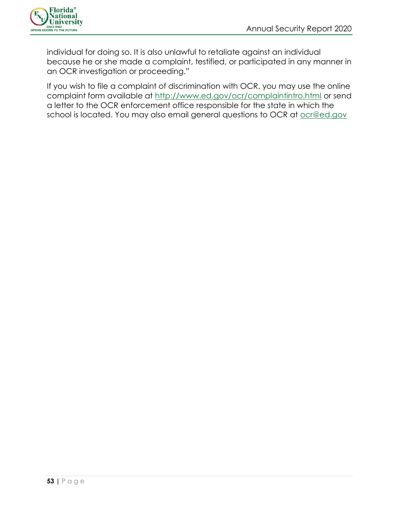

individual for doing so. It is also unlawful to retaliate against an individual because he or she made a complaint, testified, or participated in any manner in an OCR investigation or proceeding."

If you wish to file a complaint of discrimination with OCR, you may use the online complaint form available at<http://www.ed.gov/ocr/complaintintro.html> or send a letter to the OCR enforcement office responsible for the state in which the school is located. You may also email general questions to OCR at [ocr@ed.gov](mailto:ocr@ed.gov)